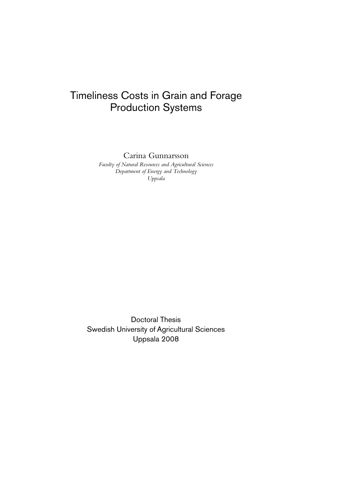# Timeliness Costs in Grain and Forage Production Systems

Carina Gunnarsson

*Faculty of Natural Resources and Agricultural Sciences Department of Energy and Technology Uppsala* 

Doctoral Thesis Swedish University of Agricultural Sciences Uppsala 2008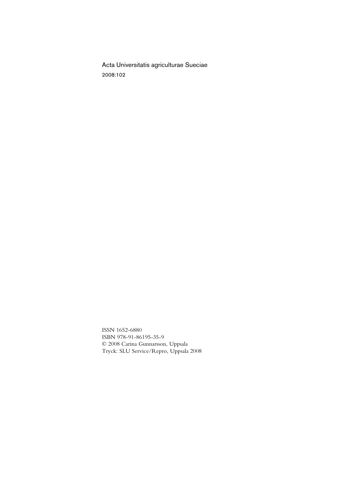Acta Universitatis agriculturae Sueciae 2008:102

ISSN 1652-6880 ISBN 978-91-86195-35-9 © 2008 Carina Gunnarsson, Uppsala Tryck: SLU Service/Repro, Uppsala 2008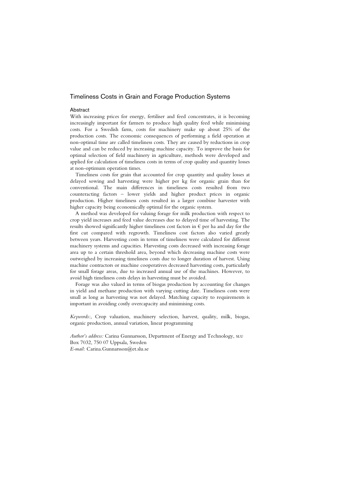#### Timeliness Costs in Grain and Forage Production Systems

#### Abstract

With increasing prices for energy, fertiliser and feed concentrates, it is becoming increasingly important for farmers to produce high quality feed while minimising costs. For a Swedish farm, costs for machinery make up about 25% of the production costs. The economic consequences of performing a field operation at non-optimal time are called timeliness costs. They are caused by reductions in crop value and can be reduced by increasing machine capacity. To improve the basis for optimal selection of field machinery in agriculture, methods were developed and applied for calculation of timeliness costs in terms of crop quality and quantity losses at non-optimum operation times.

Timeliness costs for grain that accounted for crop quantity and quality losses at delayed sowing and harvesting were higher per kg for organic grain than for conventional. The main differences in timeliness costs resulted from two counteracting factors – lower yields and higher product prices in organic production. Higher timeliness costs resulted in a larger combine harvester with higher capacity being economically optimal for the organic system.

A method was developed for valuing forage for milk production with respect to crop yield increases and feed value decreases due to delayed time of harvesting. The results showed significantly higher timeliness cost factors in  $\epsilon$  per ha and day for the first cut compared with regrowth. Timeliness cost factors also varied greatly between years. Harvesting costs in terms of timeliness were calculated for different machinery systems and capacities. Harvesting costs decreased with increasing forage area up to a certain threshold area, beyond which decreasing machine costs were outweighed by increasing timeliness costs due to longer duration of harvest. Using machine contractors or machine cooperatives decreased harvesting costs, particularly for small forage areas, due to increased annual use of the machines. However, to avoid high timeliness costs delays in harvesting must be avoided.

Forage was also valued in terms of biogas production by accounting for changes in yield and methane production with varying cutting date. Timeliness costs were small as long as harvesting was not delayed. Matching capacity to requirements is important in avoiding costly overcapacity and minimising costs.

*Keywords:*, Crop valuation, machinery selection, harvest, quality, milk, biogas, organic production, annual variation, linear programming

*Author's address:* Carina Gunnarsson, Department of Energy and Technology, slu Box 7032, 750 07 Uppsala, Sweden *E-mail:* Carina.Gunnarsson@et.slu.se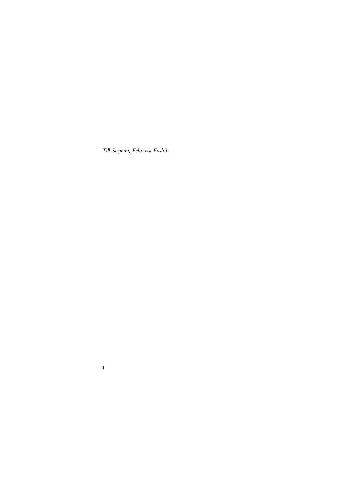*Till Stephan, Felix och Fredrik* 

4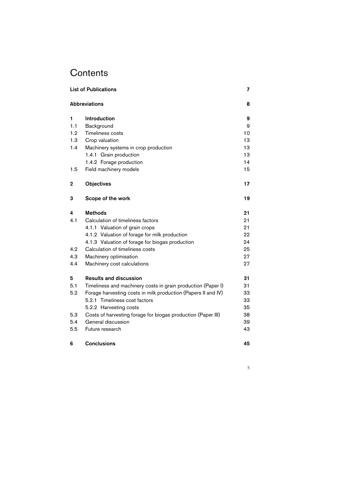# **Contents**

| <b>List of Publications</b> |                                                               |    |  |  |
|-----------------------------|---------------------------------------------------------------|----|--|--|
|                             | <b>Abbreviations</b>                                          | 8  |  |  |
| 1                           | Introduction                                                  | 9  |  |  |
| 1.1                         | Background                                                    | 9  |  |  |
| 1.2                         | <b>Timeliness costs</b>                                       | 10 |  |  |
| 1.3                         | Crop valuation                                                | 13 |  |  |
| 1.4                         | Machinery systems in crop production                          | 13 |  |  |
|                             | 1.4.1 Grain production                                        | 13 |  |  |
|                             | 1.4.2 Forage production                                       | 14 |  |  |
| 1.5                         | Field machinery models                                        | 15 |  |  |
| 2                           | <b>Objectives</b>                                             | 17 |  |  |
| 3                           | Scope of the work                                             | 19 |  |  |
| 4                           | <b>Methods</b>                                                | 21 |  |  |
| 4.1                         | Calculation of timeliness factors                             | 21 |  |  |
|                             | 4.1.1 Valuation of grain crops                                | 21 |  |  |
|                             | 4.1.2 Valuation of forage for milk production                 | 22 |  |  |
|                             | 4.1.3 Valuation of forage for biogas production               | 24 |  |  |
| 4.2                         | Calculation of timeliness costs                               | 25 |  |  |
| 4.3                         | Machinery optimisation                                        | 27 |  |  |
| 4.4                         | Machinery cost calculations                                   | 27 |  |  |
| 5                           | <b>Results and discussion</b>                                 | 31 |  |  |
| 5.1                         | Timeliness and machinery costs in grain production (Paper I)  | 31 |  |  |
| 5.2                         | Forage harvesting costs in milk production (Papers II and IV) | 33 |  |  |
|                             | 5.2.1 Timeliness cost factors                                 | 33 |  |  |
|                             | 5.2.2 Harvesting costs                                        | 35 |  |  |
| 5.3                         | Costs of harvesting forage for biogas production (Paper III)  | 38 |  |  |
| 5.4                         | General discussion                                            | 39 |  |  |
| 5.5                         | Future research                                               | 43 |  |  |

6 Conclusions 45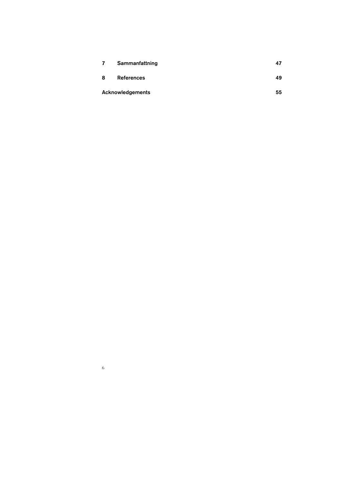| 7 | Sammanfattning          |    |
|---|-------------------------|----|
| 8 | <b>References</b>       | 49 |
|   | <b>Acknowledgements</b> | 55 |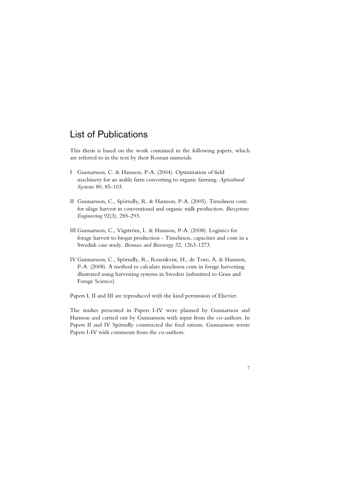### List of Publications

This thesis is based on the work contained in the following papers, which are referred to in the text by their Roman numerals:

- I Gunnarsson, C. & Hansson, P-A. (2004). Optimisation of field machinery for an arable farm converting to organic farming. *Agricultural Systems* 80, 85-103.
- II Gunnarsson, C., Spörndly, R. & Hansson, P-A. (2005). Timeliness costs for silage harvest in conventional and organic milk production. *Biosystems Engineering* 92(3), 285-293.
- III Gunnarsson, C., Vågström, L. & Hansson, P-A. (2008). Logistics for forage harvest to biogas production - Timeliness, capacities and costs in a Swedish case study. *Biomass and Bioenergy* 32, 1263-1273.
- IV Gunnarsson, C., Spörndly, R., Rosenkvist, H., de Toro, A. & Hansson, P-A. (2008). A method to calculate timeliness costs in forage harvesting illustrated using harvesting systems in Sweden (submitted to Grass and Forage Science).

Papers I, II and III are reproduced with the kind permission of Elsevier.

The studies presented in Papers I-IV were planned by Gunnarsson and Hansson and carried out by Gunnarsson with input from the co-authors. In Papers II and IV Spörndly constructed the feed rations. Gunnarsson wrote Papers I-IV with comments from the co-authors.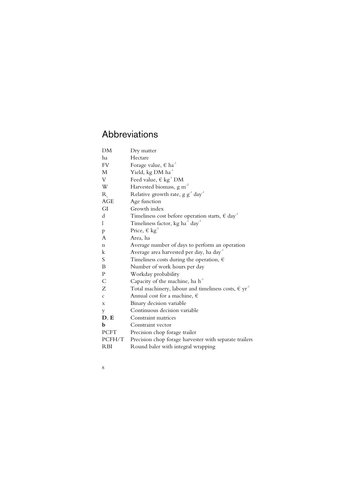# Abbreviations

| DM             | Dry matter                                                                    |
|----------------|-------------------------------------------------------------------------------|
| ha             | Hectare                                                                       |
| FV.            | Forage value, $\in$ ha <sup>-1</sup>                                          |
| M              | Yield, kg DM ha <sup>-1</sup>                                                 |
| V              | Feed value, $\in$ kg <sup>-1</sup> DM                                         |
| W              | Harvested biomass, g m <sup>-2</sup>                                          |
| $R_{\rm g}$    | Relative growth rate, $g g^{-1}$ day <sup>-1</sup>                            |
| <b>AGE</b>     | Age function                                                                  |
| GI             | Growth index                                                                  |
| d              | Timeliness cost before operation starts, $\in$ day <sup>-1</sup>              |
| 1              | Timeliness factor, kg ha <sup>-1</sup> day <sup>-1</sup>                      |
| p              | Price, $\in$ kg <sup>-1</sup>                                                 |
| A              | Area, ha                                                                      |
| n              | Average number of days to perform an operation                                |
| k              | Average area harvested per day, ha day <sup>-1</sup>                          |
| S              | Timeliness costs during the operation, $\epsilon$                             |
| B              | Number of work hours per day                                                  |
| P              | Workday probability                                                           |
| $\overline{C}$ | Capacity of the machine, ha h <sup>-1</sup>                                   |
| Z              | Total machinery, labour and timeliness costs, $\in$ $\mathrm{yr}^{\text{-}1}$ |
| $\mathcal{C}$  | Annual cost for a machine, $\epsilon$                                         |
| X              | Binary decision variable                                                      |
| y              | Continuous decision variable                                                  |
| D, E           | Constraint matrices                                                           |
| b              | Constraint vector                                                             |
| <b>PCFT</b>    | Precision chop forage trailer                                                 |
| PCFH/T         | Precision chop forage harvester with separate trailers                        |
| <b>RBI</b>     | Round baler with integral wrapping                                            |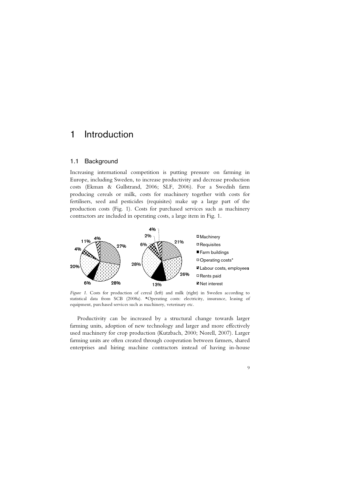### 1 Introduction

#### 1.1 Background

Increasing international competition is putting pressure on farming in Europe, including Sweden, to increase productivity and decrease production costs (Ekman & Gullstrand, 2006; SLF, 2006). For a Swedish farm producing cereals or milk, costs for machinery together with costs for fertilisers, seed and pesticides (requisites) make up a large part of the production costs (Fig. 1). Costs for purchased services such as machinery contractors are included in operating costs, a large item in Fig. 1.



*Figure 1.* Costs for production of cereal (left) and milk (right) in Sweden according to statistical data from SCB (2008a). \*Operating costs: electricity, insurance, leasing of equipment, purchased services such as machinery, veterinary etc.

Productivity can be increased by a structural change towards larger farming units, adoption of new technology and larger and more effectively used machinery for crop production (Kutzbach, 2000; Norell, 2007). Larger farming units are often created through cooperation between farmers, shared enterprises and hiring machine contractors instead of having in-house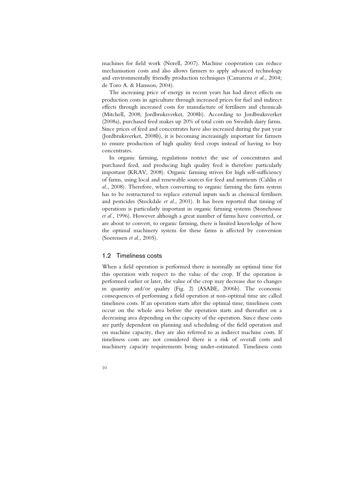machines for field work (Norell, 2007). Machine cooperation can reduce mechanisation costs and also allows farmers to apply advanced technology and environmentally friendly production techniques (Camarena *et al.*, 2004; de Toro A. & Hansson, 2004).

The increasing price of energy in recent years has had direct effects on production costs in agriculture through increased prices for fuel and indirect effects through increased costs for manufacture of fertilisers and chemicals (Mitchell, 2008; Jordbruksverket, 2008b). According to Jordbruksverket (2008a), purchased feed makes up 20% of total costs on Swedish dairy farms. Since prices of feed and concentrates have also increased during the past year (Jordbruksverket, 2008b), it is becoming increasingly important for farmers to ensure production of high quality feed crops instead of having to buy concentrates.

In organic farming, regulations restrict the use of concentrates and purchased feed, and producing high quality feed is therefore particularly important (KRAV, 2008). Organic farming strives for high self-sufficiency of farms, using local and renewable sources for feed and nutrients (Cahlin *et al.*, 2008). Therefore, when converting to organic farming the farm system has to be restructured to replace external inputs such as chemical fertilisers and pesticides (Stockdale *et al*., 2001). It has been reported that timing of operations is particularly important in organic farming systems (Stonehouse *et al.*, 1996). However although a great number of farms have converted, or are about to convert, to organic farming, there is limited knowledge of how the optimal machinery system for these farms is affected by conversion (Soerensen *et al.*, 2005).

#### 1.2 Timeliness costs

When a field operation is performed there is normally an optimal time for this operation with respect to the value of the crop. If the operation is performed earlier or later, the value of the crop may decrease due to changes in quantity and/or quality (Fig. 2) (ASABE, 2006b). The economic consequences of performing a field operation at non-optimal time are called timeliness costs. If an operation starts after the optimal time, timeliness costs occur on the whole area before the operation starts and thereafter on a decreasing area depending on the capacity of the operation. Since these costs are partly dependent on planning and scheduling of the field operation and on machine capacity, they are also referred to as indirect machine costs. If timeliness costs are not considered there is a risk of overall costs and machinery capacity requirements being under-estimated. Timeliness costs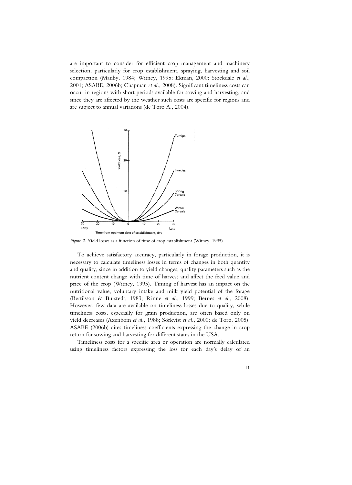are important to consider for efficient crop management and machinery selection, particularly for crop establishment, spraying, harvesting and soil compaction (Manby, 1984; Witney, 1995; Ekman, 2000; Stockdale *et al.*, 2001; ASABE, 2006b; Chapman *et al.*, 2008). Significant timeliness costs can occur in regions with short periods available for sowing and harvesting, and since they are affected by the weather such costs are specific for regions and are subject to annual variations (de Toro A., 2004).



*Figure 2.* Yield losses as a function of time of crop establishment (Witney, 1995).

To achieve satisfactory accuracy, particularly in forage production, it is necessary to calculate timeliness losses in terms of changes in both quantity and quality, since in addition to yield changes, quality parameters such as the nutrient content change with time of harvest and affect the feed value and price of the crop (Witney, 1995). Timing of harvest has an impact on the nutritional value, voluntary intake and milk yield potential of the forage (Bertilsson & Burstedt, 1983; Rinne *et al.*, 1999; Bernes *et al.*, 2008). However, few data are available on timeliness losses due to quality, while timeliness costs, especially for grain production, are often based only on yield decreases (Axenbom *et al.*, 1988; Sörkvist *et al.*, 2000; de Toro, 2005). ASABE (2006b) cites timeliness coefficients expressing the change in crop return for sowing and harvesting for different states in the USA.

Timeliness costs for a specific area or operation are normally calculated using timeliness factors expressing the loss for each day's delay of an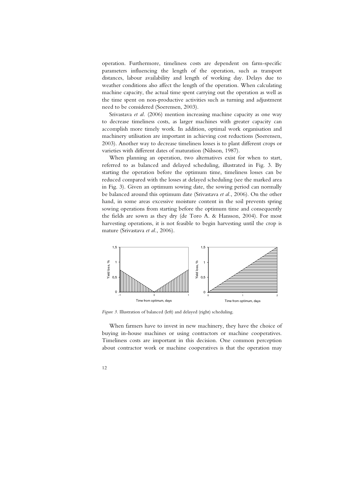operation. Furthermore, timeliness costs are dependent on farm-specific parameters influencing the length of the operation, such as transport distances, labour availability and length of working day. Delays due to weather conditions also affect the length of the operation. When calculating machine capacity, the actual time spent carrying out the operation as well as the time spent on non-productive activities such as turning and adjustment need to be considered (Soerensen, 2003).

Srivastava *et al.* (2006) mention increasing machine capacity as one way to decrease timeliness costs, as larger machines with greater capacity can accomplish more timely work. In addition, optimal work organisation and machinery utilisation are important in achieving cost reductions (Soerensen, 2003). Another way to decrease timeliness losses is to plant different crops or varieties with different dates of maturation (Nilsson, 1987).

When planning an operation, two alternatives exist for when to start, referred to as balanced and delayed scheduling, illustrated in Fig. 3. By starting the operation before the optimum time, timeliness losses can be reduced compared with the losses at delayed scheduling (see the marked area in Fig. 3). Given an optimum sowing date, the sowing period can normally be balanced around this optimum date (Srivastava *et al.*, 2006). On the other hand, in some areas excessive moisture content in the soil prevents spring sowing operations from starting before the optimum time and consequently the fields are sown as they dry (de Toro A. & Hansson, 2004). For most harvesting operations, it is not feasible to begin harvesting until the crop is mature (Srivastava *et al.*, 2006).



*Figure 3.* Illustration of balanced (left) and delayed (right) scheduling.

When farmers have to invest in new machinery, they have the choice of buying in-house machines or using contractors or machine cooperatives. Timeliness costs are important in this decision. One common perception about contractor work or machine cooperatives is that the operation may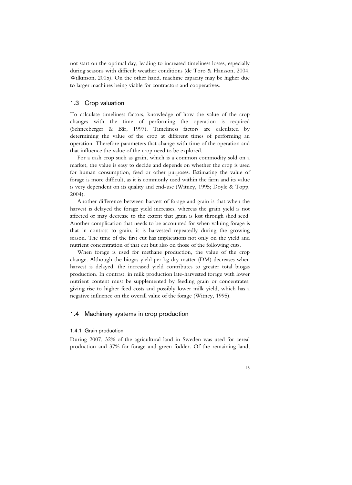not start on the optimal day, leading to increased timeliness losses, especially during seasons with difficult weather conditions (de Toro & Hansson, 2004; Wilkinson, 2005). On the other hand, machine capacity may be higher due to larger machines being viable for contractors and cooperatives.

#### 1.3 Crop valuation

To calculate timeliness factors, knowledge of how the value of the crop changes with the time of performing the operation is required (Schneeberger & Bär, 1997). Timeliness factors are calculated by determining the value of the crop at different times of performing an operation. Therefore parameters that change with time of the operation and that influence the value of the crop need to be explored.

For a cash crop such as grain, which is a common commodity sold on a market, the value is easy to decide and depends on whether the crop is used for human consumption, feed or other purposes. Estimating the value of forage is more difficult, as it is commonly used within the farm and its value is very dependent on its quality and end-use (Witney, 1995; Doyle & Topp, 2004).

Another difference between harvest of forage and grain is that when the harvest is delayed the forage yield increases, whereas the grain yield is not affected or may decrease to the extent that grain is lost through shed seed. Another complication that needs to be accounted for when valuing forage is that in contrast to grain, it is harvested repeatedly during the growing season. The time of the first cut has implications not only on the yield and nutrient concentration of that cut but also on those of the following cuts.

When forage is used for methane production, the value of the crop change. Although the biogas yield per kg dry matter (DM) decreases when harvest is delayed, the increased yield contributes to greater total biogas production. In contrast, in milk production late-harvested forage with lower nutrient content must be supplemented by feeding grain or concentrates, giving rise to higher feed costs and possibly lower milk yield, which has a negative influence on the overall value of the forage (Witney, 1995).

#### 1.4 Machinery systems in crop production

#### 1.4.1 Grain production

During 2007, 32% of the agricultural land in Sweden was used for cereal production and 37% for forage and green fodder. Of the remaining land,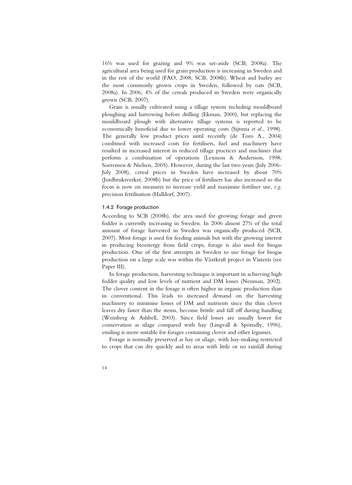16% was used for grazing and 9% was set-aside (SCB, 2008a). The agricultural area being used for grain production is increasing in Sweden and in the rest of the world (FAO, 2008; SCB, 2008b). Wheat and barley are the most commonly grown crops in Sweden, followed by oats (SCB, 2008a). In 2006, 4% of the cereals produced in Sweden were organically grown (SCB, 2007).

Grain is usually cultivated using a tillage system including mouldboard ploughing and harrowing before drilling (Ekman, 2000), but replacing the mouldboard plough with alternative tillage systems is reported to be economically beneficial due to lower operating costs (Sijtsma *et al.*, 1998). The generally low product prices until recently (de Toro A., 2004) combined with increased costs for fertilisers, fuel and machinery have resulted in increased interest in reduced tillage practices and machines that perform a combination of operations (Lexmon & Andersson, 1998; Soerensen & Nielsen, 2005). However, during the last two years (July 2006- July 2008), cereal prices in Sweden have increased by about 70% (Jordbruksverket, 2008b) but the price of fertilisers has also increased so the focus is now on measures to increase yield and maximise fertiliser use, *e.g*. precision fertilisation (Halldorf, 2007).

#### 1.4.2 Forage production

According to SCB (2008b), the area used for growing forage and green fodder is currently increasing in Sweden. In 2006 almost 27% of the total amount of forage harvested in Sweden was organically produced (SCB, 2007). Most forage is used for feeding animals but with the growing interest in producing bioenergy from field crops, forage is also used for biogas production. One of the first attempts in Sweden to use forage for biogas production on a large scale was within the Växtkraft project in Västerås (see Paper III).

In forage production, harvesting technique is important in achieving high fodder quality and low levels of nutrient and DM losses (Neuman, 2002). The clover content in the forage is often higher in organic production than in conventional. This leads to increased demand on the harvesting machinery to minimise losses of DM and nutrients since the thin clover leaves dry faster than the stems, become brittle and fall off during handling (Weinberg & Ashbell, 2003). Since field losses are usually lower for conservation as silage compared with hay (Lingvall & Spörndly, 1996), ensiling is more suitable for forages containing clover and other legumes.

Forage is normally preserved as hay or silage, with hay-making restricted to crops that can dry quickly and to areas with little or no rainfall during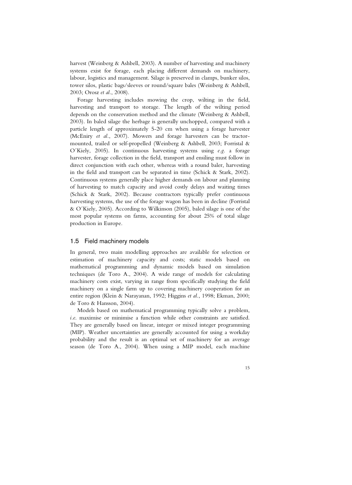harvest (Weinberg & Ashbell, 2003). A number of harvesting and machinery systems exist for forage, each placing different demands on machinery, labour, logistics and management. Silage is preserved in clamps, bunker silos, tower silos, plastic bags/sleeves or round/square bales (Weinberg & Ashbell, 2003; Orosz *et al.*, 2008).

Forage harvesting includes mowing the crop, wilting in the field, harvesting and transport to storage. The length of the wilting period depends on the conservation method and the climate (Weinberg & Ashbell, 2003). In baled silage the herbage is generally unchopped, compared with a particle length of approximately 5-20 cm when using a forage harvester (McEniry *et al.*, 2007). Mowers and forage harvesters can be tractormounted, trailed or self-propelled (Weinberg & Ashbell, 2003; Forristal & O´Kiely, 2005). In continuous harvesting systems using *e.g*. a forage harvester, forage collection in the field, transport and ensiling must follow in direct conjunction with each other, whereas with a round baler, harvesting in the field and transport can be separated in time (Schick & Stark, 2002). Continuous systems generally place higher demands on labour and planning of harvesting to match capacity and avoid costly delays and waiting times (Schick & Stark, 2002). Because contractors typically prefer continuous harvesting systems, the use of the forage wagon has been in decline (Forristal & O´Kiely, 2005). According to Wilkinson (2005), baled silage is one of the most popular systems on farms, accounting for about 25% of total silage production in Europe.

#### 1.5 Field machinery models

In general, two main modelling approaches are available for selection or estimation of machinery capacity and costs; static models based on mathematical programming and dynamic models based on simulation techniques (de Toro A., 2004). A wide range of models for calculating machinery costs exist, varying in range from specifically studying the field machinery on a single farm up to covering machinery cooperation for an entire region (Klein & Narayanan, 1992; Higgins *et al.*, 1998; Ekman, 2000; de Toro & Hansson, 2004).

Models based on mathematical programming typically solve a problem, *i.e*. maximise or minimise a function while other constraints are satisfied. They are generally based on linear, integer or mixed integer programming (MIP). Weather uncertainties are generally accounted for using a workday probability and the result is an optimal set of machinery for an average season (de Toro A., 2004). When using a MIP model, each machine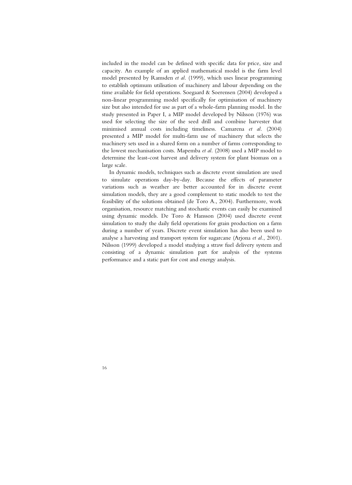included in the model can be defined with specific data for price, size and capacity. An example of an applied mathematical model is the farm level model presented by Ramsden *et al.* (1999), which uses linear programming to establish optimum utilisation of machinery and labour depending on the time available for field operations. Soegaard & Soerensen (2004) developed a non-linear programming model specifically for optimisation of machinery size but also intended for use as part of a whole-farm planning model. In the study presented in Paper I, a MIP model developed by Nilsson (1976) was used for selecting the size of the seed drill and combine harvester that minimised annual costs including timeliness. Camarena *et al.* (2004) presented a MIP model for multi-farm use of machinery that selects the machinery sets used in a shared form on a number of farms corresponding to the lowest mechanisation costs. Mapemba *et al.* (2008) used a MIP model to determine the least-cost harvest and delivery system for plant biomass on a large scale.

In dynamic models, techniques such as discrete event simulation are used to simulate operations day-by-day. Because the effects of parameter variations such as weather are better accounted for in discrete event simulation models, they are a good complement to static models to test the feasibility of the solutions obtained (de Toro A., 2004). Furthermore, work organisation, resource matching and stochastic events can easily be examined using dynamic models. De Toro & Hansson (2004) used discrete event simulation to study the daily field operations for grain production on a farm during a number of years. Discrete event simulation has also been used to analyse a harvesting and transport system for sugarcane (Arjona *et al.*, 2001). Nilsson (1999) developed a model studying a straw fuel delivery system and consisting of a dynamic simulation part for analysis of the systems performance and a static part for cost and energy analysis.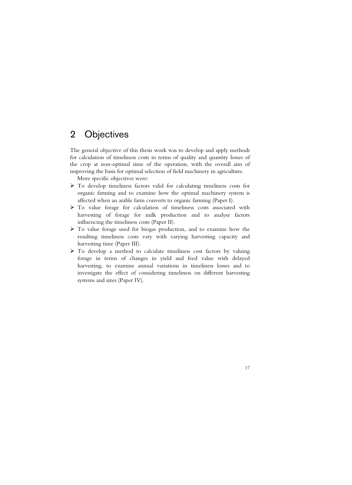## 2 Objectives

The general objective of this thesis work was to develop and apply methods for calculation of timeliness costs in terms of quality and quantity losses of the crop at non-optimal time of the operation, with the overall aim of improving the basis for optimal selection of field machinery in agriculture.

More specific objectives were:

- $\triangleright$  To develop timeliness factors valid for calculating timeliness costs for organic farming and to examine how the optimal machinery system is affected when an arable farm converts to organic farming (Paper I).
- $\triangleright$  To value forage for calculation of timeliness costs associated with harvesting of forage for milk production and to analyse factors influencing the timeliness costs (Paper II).
- $\triangleright$  To value forage used for biogas production, and to examine how the resulting timeliness costs vary with varying harvesting capacity and harvesting time (Paper III).
- $\triangleright$  To develop a method to calculate timeliness cost factors by valuing forage in terms of changes in yield and feed value with delayed harvesting, to examine annual variations in timeliness losses and to investigate the effect of considering timeliness on different harvesting systems and sizes (Paper IV).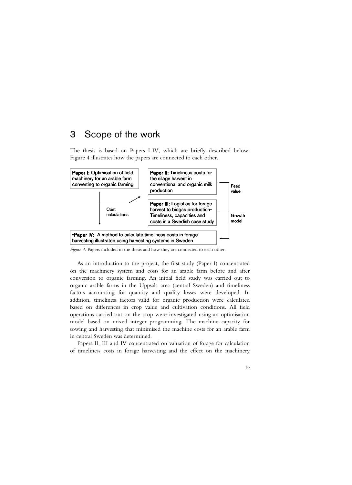### 3 Scope of the work

The thesis is based on Papers I-IV, which are briefly described below. Figure 4 illustrates how the papers are connected to each other.



*Figure 4.* Papers included in the thesis and how they are connected to each other.

As an introduction to the project, the first study (Paper I) concentrated on the machinery system and costs for an arable farm before and after conversion to organic farming. An initial field study was carried out to organic arable farms in the Uppsala area (central Sweden) and timeliness factors accounting for quantity and quality losses were developed. In addition, timeliness factors valid for organic production were calculated based on differences in crop value and cultivation conditions. All field operations carried out on the crop were investigated using an optimisation model based on mixed integer programming. The machine capacity for sowing and harvesting that minimised the machine costs for an arable farm in central Sweden was determined.

Papers II, III and IV concentrated on valuation of forage for calculation of timeliness costs in forage harvesting and the effect on the machinery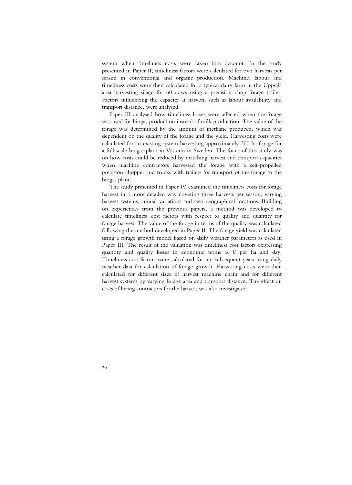system when timeliness costs were taken into account. In the study presented in Paper II, timeliness factors were calculated for two harvests per season in conventional and organic production. Machine, labour and timeliness costs were then calculated for a typical dairy farm in the Uppsala area harvesting silage for 60 cows using a precision chop forage trailer. Factors influencing the capacity at harvest, such as labour availability and transport distance, were analysed.

Paper III analysed how timeliness losses were affected when the forage was used for biogas production instead of milk production. The value of the forage was determined by the amount of methane produced, which was dependent on the quality of the forage and the yield. Harvesting costs were calculated for an existing system harvesting approximately 300 ha forage for a full-scale biogas plant in Västerås in Sweden. The focus of this study was on how costs could be reduced by matching harvest and transport capacities when machine contractors harvested the forage with a self-propelled precision chopper and trucks with trailers for transport of the forage to the biogas plant.

The study presented in Paper IV examined the timeliness costs for forage harvest in a more detailed way covering three harvests per season, varying harvest systems, annual variations and two geographical locations. Building on experiences from the previous papers, a method was developed to calculate timeliness cost factors with respect to quality and quantity for forage harvest. The value of the forage in terms of the quality was calculated following the method developed in Paper II. The forage yield was calculated using a forage growth model based on daily weather parameters as used in Paper III. The result of the valuation was timeliness cost factors expressing quantity and quality losses in economic terms as  $\epsilon$  per ha and day. Timeliness cost factors were calculated for ten subsequent years using daily weather data for calculation of forage growth. Harvesting costs were then calculated for different sizes of harvest machine chain and for different harvest systems by varying forage area and transport distance. The effect on costs of hiring contractors for the harvest was also investigated.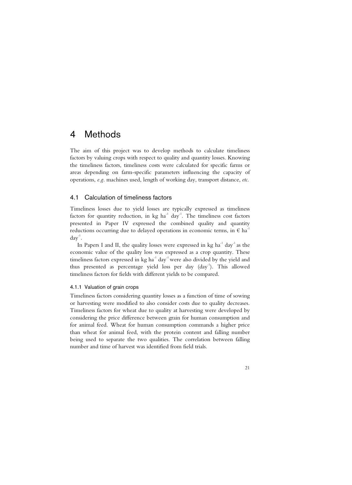### 4 Methods

The aim of this project was to develop methods to calculate timeliness factors by valuing crops with respect to quality and quantity losses. Knowing the timeliness factors, timeliness costs were calculated for specific farms or areas depending on farm-specific parameters influencing the capacity of operations, *e.g*. machines used, length of working day, transport distance, *etc*.

#### 4.1 Calculation of timeliness factors

Timeliness losses due to yield losses are typically expressed as timeliness factors for quantity reduction, in  $kg$   $ha^{-1}$  day<sup>-1</sup>. The timeliness cost factors presented in Paper IV expressed the combined quality and quantity reductions occurring due to delayed operations in economic terms, in  $\epsilon$  ha<sup>-1</sup>  $day^{-1}$ .

In Papers I and II, the quality losses were expressed in  $kg$   $ha^{-1}$   $day^{-1}$  as the economic value of the quality loss was expressed as a crop quantity. These timeliness factors expressed in  $kg$   $ha^{-1}$  day<sup>-1</sup> were also divided by the yield and thus presented as percentage yield loss per day  $\langle \text{day}^{-1} \rangle$ . This allowed timeliness factors for fields with different yields to be compared.

#### 4.1.1 Valuation of grain crops

Timeliness factors considering quantity losses as a function of time of sowing or harvesting were modified to also consider costs due to quality decreases. Timeliness factors for wheat due to quality at harvesting were developed by considering the price difference between grain for human consumption and for animal feed. Wheat for human consumption commands a higher price than wheat for animal feed, with the protein content and falling number being used to separate the two qualities. The correlation between falling number and time of harvest was identified from field trials.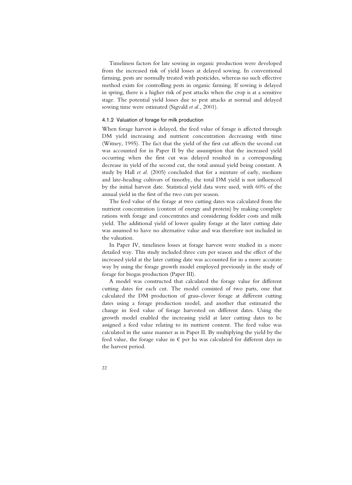Timeliness factors for late sowing in organic production were developed from the increased risk of yield losses at delayed sowing. In conventional farming, pests are normally treated with pesticides, whereas no such effective method exists for controlling pests in organic farming. If sowing is delayed in spring, there is a higher risk of pest attacks when the crop is at a sensitive stage. The potential yield losses due to pest attacks at normal and delayed sowing time were estimated (Sigvald *et al.*, 2001).

#### 4.1.2 Valuation of forage for milk production

When forage harvest is delayed, the feed value of forage is affected through DM yield increasing and nutrient concentration decreasing with time (Witney, 1995). The fact that the yield of the first cut affects the second cut was accounted for in Paper II by the assumption that the increased yield occurring when the first cut was delayed resulted in a corresponding decrease in yield of the second cut, the total annual yield being constant. A study by Hall *et al.* (2005) concluded that for a mixture of early, medium and late-heading cultivars of timothy, the total DM yield is not influenced by the initial harvest date. Statistical yield data were used, with 60% of the annual yield in the first of the two cuts per season.

The feed value of the forage at two cutting dates was calculated from the nutrient concentration (content of energy and protein) by making complete rations with forage and concentrates and considering fodder costs and milk yield. The additional yield of lower quality forage at the later cutting date was assumed to have no alternative value and was therefore not included in the valuation.

In Paper IV, timeliness losses at forage harvest were studied in a more detailed way. This study included three cuts per season and the effect of the increased yield at the later cutting date was accounted for in a more accurate way by using the forage growth model employed previously in the study of forage for biogas production (Paper III).

A model was constructed that calculated the forage value for different cutting dates for each cut. The model consisted of two parts, one that calculated the DM production of grass-clover forage at different cutting dates using a forage production model, and another that estimated the change in feed value of forage harvested on different dates. Using the growth model enabled the increasing yield at later cutting dates to be assigned a feed value relating to its nutrient content. The feed value was calculated in the same manner as in Paper II. By multiplying the yield by the feed value, the forage value in  $\epsilon$  per ha was calculated for different days in the harvest period.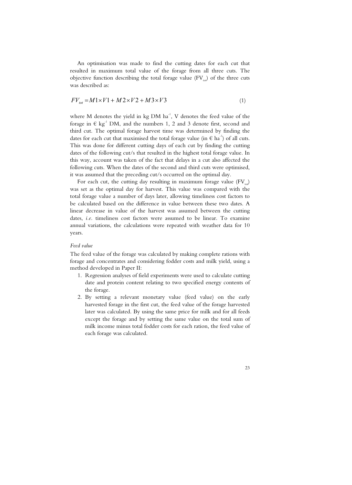An optimisation was made to find the cutting dates for each cut that resulted in maximum total value of the forage from all three cuts. The objective function describing the total forage value  $(FV_{tot})$  of the three cuts was described as:

$$
FV_{tot} = M1 \times V1 + M2 \times V2 + M3 \times V3 \tag{1}
$$

where M denotes the yield in kg DM  $ha^{-1}$ , V denotes the feed value of the forage in  $\in$  kg<sup>-1</sup> DM, and the numbers 1, 2 and 3 denote first, second and third cut. The optimal forage harvest time was determined by finding the dates for each cut that maximised the total forage value (in  $\epsilon$  ha<sup>-1</sup>) of all cuts. This was done for different cutting days of each cut by finding the cutting dates of the following cut/s that resulted in the highest total forage value. In this way, account was taken of the fact that delays in a cut also affected the following cuts. When the dates of the second and third cuts were optimised, it was assumed that the preceding cut/s occurred on the optimal day.

For each cut, the cutting day resulting in maximum forage value  $(FV_{t})$ was set as the optimal day for harvest. This value was compared with the total forage value a number of days later, allowing timeliness cost factors to be calculated based on the difference in value between these two dates. A linear decrease in value of the harvest was assumed between the cutting dates, *i.e.* timeliness cost factors were assumed to be linear. To examine annual variations, the calculations were repeated with weather data for 10 years.

#### *Feed value*

The feed value of the forage was calculated by making complete rations with forage and concentrates and considering fodder costs and milk yield, using a method developed in Paper II:

- 1. Regression analyses of field experiments were used to calculate cutting date and protein content relating to two specified energy contents of the forage.
- 2. By setting a relevant monetary value (feed value) on the early harvested forage in the first cut, the feed value of the forage harvested later was calculated. By using the same price for milk and for all feeds except the forage and by setting the same value on the total sum of milk income minus total fodder costs for each ration, the feed value of each forage was calculated.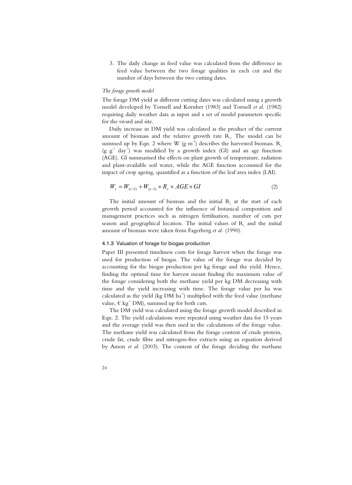3. The daily change in feed value was calculated from the difference in feed value between the two forage qualities in each cut and the number of days between the two cutting dates.

#### *The forage growth model*

The forage DM yield at different cutting dates was calculated using a growth model developed by Torssell and Kornher (1983) and Torssell *et al.* (1982) requiring daily weather data as input and a set of model parameters specific for the sward and site.

Daily increase in DM yield was calculated as the product of the current amount of biomass and the relative growth rate  $R_{s}$ . The model can be summed up by Eqn. 2 where W (g m<sup>-2</sup>) describes the harvested biomass. R<sub>s</sub>  $(g g<sup>-1</sup> day<sup>-1</sup>)$  was modified by a growth index (GI) and an age function (AGE). GI summarised the effects on plant growth of temperature, radiation and plant-available soil water, while the AGE function accounted for the impact of crop ageing, quantified as a function of the leaf area index (LAI).

$$
W_t = W_{(t-1)} + W_{(t-1)} \times R_s \times AGE \times GI \tag{2}
$$

The initial amount of biomass and the initial  $R_{s}$  at the start of each growth period accounted for the influence of botanical composition and management practices such as nitrogen fertilisation, number of cuts per season and geographical location. The initial values of  $R_{\rm s}$  and the initial amount of biomass were taken from Fagerberg *et al.* (1990).

#### 4.1.3 Valuation of forage for biogas production

Paper III presented timeliness costs for forage harvest when the forage was used for production of biogas. The value of the forage was decided by accounting for the biogas production per kg forage and the yield. Hence, finding the optimal time for harvest meant finding the maximum value of the forage considering both the methane yield per kg DM decreasing with time and the yield increasing with time. The forage value per ha was calculated as the yield (kg DM  $ha^{-1}$ ) multiplied with the feed value (methane value,  $\in$  kg<sup>-1</sup> DM), summed up for both cuts.

The DM yield was calculated using the forage growth model described in Eqn. 2. The yield calculations were repeated using weather data for 15 years and the average yield was then used in the calculations of the forage value. The methane yield was calculated from the forage content of crude protein, crude fat, crude fibre and nitrogen-free extracts using an equation derived by Amon *et al.* (2003). The content of the forage deciding the methane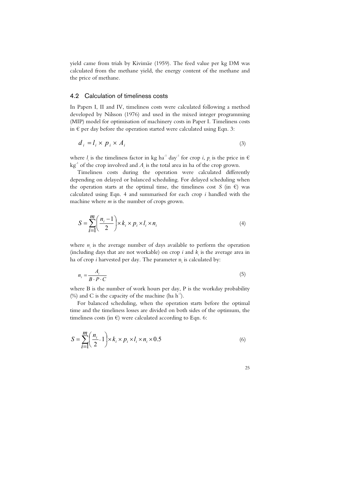yield came from trials by Kivimäe (1959). The feed value per kg DM was calculated from the methane yield, the energy content of the methane and the price of methane.

#### 4.2 Calculation of timeliness costs

In Papers I, II and IV, timeliness costs were calculated following a method developed by Nilsson (1976) and used in the mixed integer programming (MIP) model for optimisation of machinery costs in Paper I. Timeliness costs in  $\epsilon$  per day before the operation started were calculated using Eqn. 3:

$$
d_i = l_i \times p_i \times A_i \tag{3}
$$

where  $l_i$  is the timeliness factor in kg ha<sup>-1</sup> day<sup>-1</sup> for crop *i*,  $p_i$  is the price in  $\epsilon$  $kg<sup>-1</sup>$  of the crop involved and  $A<sub>i</sub>$  is the total area in ha of the crop grown.

Timeliness costs during the operation were calculated differently depending on delayed or balanced scheduling. For delayed scheduling when the operation starts at the optimal time, the timeliness cost *S* (in  $\epsilon$ ) was calculated using Eqn. 4 and summarised for each crop *i* handled with the machine where *m* is the number of crops grown.

$$
S = \sum_{i=1}^{m} \left( \frac{n_i - 1}{2} \right) \times k_i \times p_i \times l_i \times n_i
$$
\n(4)

where  $n_i$  is the average number of days available to perform the operation (including days that are not workable) on crop  $i$  and  $k_i$  is the average area in ha of crop *i* harvested per day. The parameter  $n_i$  is calculated by:

$$
n_i = \frac{A_i}{B \cdot P \cdot C} \tag{5}
$$

where B is the number of work hours per day, P is the workday probability (%) and C is the capacity of the machine (ha  $h^{-1}$ ).

For balanced scheduling, when the operation starts before the optimal time and the timeliness losses are divided on both sides of the optimum, the timeliness costs (in  $\epsilon$ ) were calculated according to Eqn. 6:

$$
S = \sum_{i=1}^{m} \left( \frac{n_i}{2} - 1 \right) \times k_i \times p_i \times l_i \times n_i \times 0.5
$$
 (6)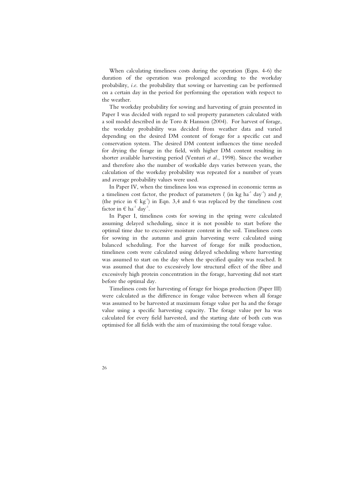When calculating timeliness costs during the operation (Eqns. 4-6) the duration of the operation was prolonged according to the workday probability, *i.e*. the probability that sowing or harvesting can be performed on a certain day in the period for performing the operation with respect to the weather.

The workday probability for sowing and harvesting of grain presented in Paper I was decided with regard to soil property parameters calculated with a soil model described in de Toro & Hansson (2004). For harvest of forage, the workday probability was decided from weather data and varied depending on the desired DM content of forage for a specific cut and conservation system. The desired DM content influences the time needed for drying the forage in the field, with higher DM content resulting in shorter available harvesting period (Venturi *et al.*, 1998). Since the weather and therefore also the number of workable days varies between years, the calculation of the workday probability was repeated for a number of years and average probability values were used.

In Paper IV, when the timeliness loss was expressed in economic terms as a timeliness cost factor, the product of parameters  $l_i$  (in kg ha<sup>-1</sup> day<sup>-1</sup>) and  $p_i$ (the price in  $\in$  kg<sup>-1</sup>) in Eqn. 3,4 and 6 was replaced by the timeliness cost factor in  $\in$  ha<sup>-1</sup> day<sup>-1</sup>.

In Paper I, timeliness costs for sowing in the spring were calculated assuming delayed scheduling, since it is not possible to start before the optimal time due to excessive moisture content in the soil. Timeliness costs for sowing in the autumn and grain harvesting were calculated using balanced scheduling. For the harvest of forage for milk production, timeliness costs were calculated using delayed scheduling where harvesting was assumed to start on the day when the specified quality was reached. It was assumed that due to excessively low structural effect of the fibre and excessively high protein concentration in the forage, harvesting did not start before the optimal day.

Timeliness costs for harvesting of forage for biogas production (Paper III) were calculated as the difference in forage value between when all forage was assumed to be harvested at maximum forage value per ha and the forage value using a specific harvesting capacity. The forage value per ha was calculated for every field harvested, and the starting date of both cuts was optimised for all fields with the aim of maximising the total forage value.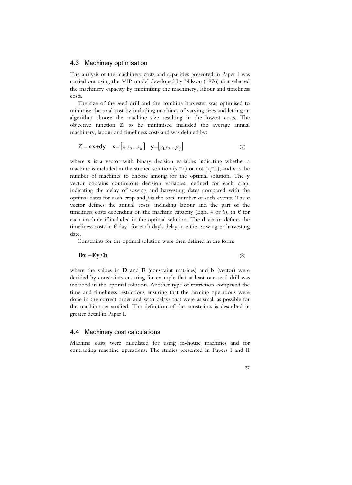#### 4.3 Machinery optimisation

The analysis of the machinery costs and capacities presented in Paper I was carried out using the MIP model developed by Nilsson (1976) that selected the machinery capacity by minimising the machinery, labour and timeliness costs.

The size of the seed drill and the combine harvester was optimised to minimise the total cost by including machines of varying sizes and letting an algorithm choose the machine size resulting in the lowest costs. The objective function Z to be minimised included the average annual machinery, labour and timeliness costs and was defined by:

$$
Z = \mathbf{cx} + \mathbf{dy} \quad \mathbf{x} = \begin{bmatrix} x_1 x_2 ... x_n \end{bmatrix} \quad \mathbf{y} = \begin{bmatrix} y_1 y_2 ... y_j \end{bmatrix} \tag{7}
$$

where **x** is a vector with binary decision variables indicating whether a machine is included in the studied solution  $(x_i=1)$  or not  $(x_i=0)$ , and *n* is the number of machines to choose among for the optimal solution. The **y** vector contains continuous decision variables, defined for each crop, indicating the delay of sowing and harvesting dates compared with the optimal dates for each crop and *j* is the total number of such events. The **c** vector defines the annual costs, including labour and the part of the timeliness costs depending on the machine capacity (Eqn. 4 or 6), in  $\epsilon$  for each machine if included in the optimal solution. The **d** vector defines the timeliness costs in  $\epsilon$  day<sup>-1</sup> for each day's delay in either sowing or harvesting date.

Constraints for the optimal solution were then defined in the form:

$$
Dx + Ey \le b \tag{8}
$$

where the values in **D** and **E** (constraint matrices) and **b** (vector) were decided by constraints ensuring for example that at least one seed drill was included in the optimal solution. Another type of restriction comprised the time and timeliness restrictions ensuring that the farming operations were done in the correct order and with delays that were as small as possible for the machine set studied. The definition of the constraints is described in greater detail in Paper I.

#### 4.4 Machinery cost calculations

Machine costs were calculated for using in-house machines and for contracting machine operations. The studies presented in Papers I and II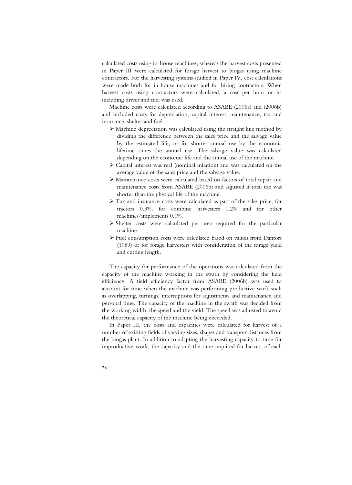calculated costs using in-house machines, whereas the harvest costs presented in Paper III were calculated for forage harvest to biogas using machine contractors. For the harvesting systems studied in Paper IV, cost calculations were made both for in-house machines and for hiring contractors. When harvest costs using contractors were calculated, a cost per hour or ha including driver and fuel was used.

Machine costs were calculated according to ASABE (2006a) and (2006b) and included costs for depreciation, capital interest, maintenance, tax and insurance, shelter and fuel.

- ¾ Machine depreciation was calculated using the straight line method by dividing the difference between the sales price and the salvage value by the estimated life, or for shorter annual use by the economic lifetime times the annual use. The salvage value was calculated depending on the economic life and the annual use of the machine.
- ¾ Capital interest was real (nominal inflation) and was calculated on the average value of the sales price and the salvage value.
- ¾ Maintenance costs were calculated based on factors of total repair and maintenance costs from ASABE (2006b) and adjusted if total use was shorter than the physical life of the machine.
- ¾ Tax and insurance costs were calculated as part of the sales price; for tractors 0.3%, for combine harvesters 0.2% and for other machines/implements 0.1%.
- $\triangleright$  Shelter costs were calculated per area required for the particular machine.
- ¾ Fuel consumption costs were calculated based on values from Danfors (1989) or for forage harvesters with consideration of the forage yield and cutting length.

The capacity for performance of the operations was calculated from the capacity of the machine working in the swath by considering the field efficiency. A field efficiency factor from ASABE (2006b) was used to account for time when the machine was performing productive work such as overlapping, turnings, interruptions for adjustments and maintenance and personal time. The capacity of the machine in the swath was decided from the working width, the speed and the yield. The speed was adjusted to avoid the theoretical capacity of the machine being exceeded.

In Paper III, the costs and capacities were calculated for harvest of a number of existing fields of varying sizes, shapes and transport distances from the biogas plant. In addition to adapting the harvesting capacity to time for unproductive work, the capacity and the time required for harvest of each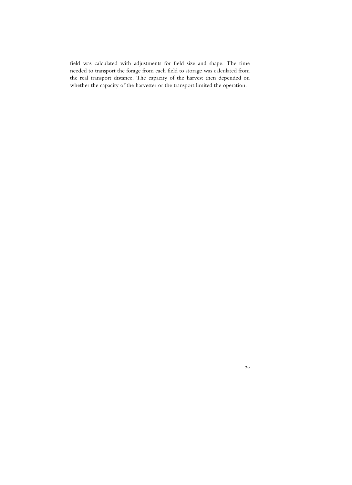field was calculated with adjustments for field size and shape. The time needed to transport the forage from each field to storage was calculated from the real transport distance. The capacity of the harvest then depended on whether the capacity of the harvester or the transport limited the operation.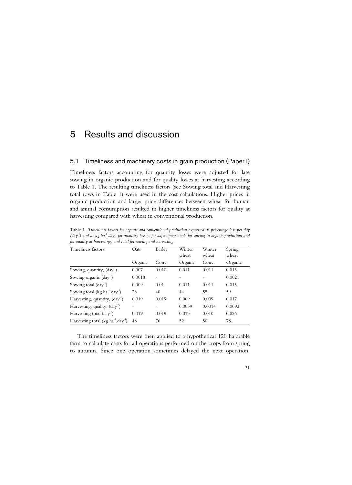## 5 Results and discussion

#### 5.1 Timeliness and machinery costs in grain production (Paper I)

Timeliness factors accounting for quantity losses were adjusted for late sowing in organic production and for quality losses at harvesting according to Table 1. The resulting timeliness factors (see Sowing total and Harvesting total rows in Table 1) were used in the cost calculations. Higher prices in organic production and larger price differences between wheat for human and animal consumption resulted in higher timeliness factors for quality at harvesting compared with wheat in conventional production.

| Timeliness factors                                        | Oats    | Barley | Winter<br>wheat | Winter<br>wheat | Spring<br>wheat |
|-----------------------------------------------------------|---------|--------|-----------------|-----------------|-----------------|
|                                                           | Organic | Conv.  | Organic         | Conv.           | Organic         |
| Sowing, quantity, (day <sup>-1</sup> )                    | 0.007   | 0.010  | 0.011           | 0.011           | 0.013           |
| Sowing organic (day <sup>-1</sup> )                       | 0.0018  |        |                 |                 | 0.0021          |
| Sowing total $\text{(day}^1)$                             | 0.009   | 0.01   | 0.011           | 0.011           | 0.015           |
| Sowing total ( $kg$ ha <sup>-1</sup> day <sup>-1</sup> )  | 23      | 40     | 44              | 55              | 59              |
| Harvesting, quantity, $(\text{day}^{-1})$                 | 0.019   | 0.019  | 0.009           | 0.009           | 0.017           |
| Harvesting, quality, $(\text{day}^{-1})$                  |         |        | 0.0039          | 0.0014          | 0.0092          |
| Harvesting total $\text{(day}^{-1})$                      | 0.019   | 0.019  | 0.013           | 0.010           | 0.026           |
| Harvesting total (kg ha <sup>-1</sup> day <sup>-1</sup> ) | 48      | 76     | 52              | 50              | 78              |

Table 1. *Timeliness factors for organic and conventional production expressed as percentage loss per day (day-1) and as kg ha-1 day-1 for quantity losses, for adjustment made for sowing in organic production and for quality at harvesting, and total for sowing and harvesting* 

The timeliness factors were then applied to a hypothetical 120 ha arable farm to calculate costs for all operations performed on the crops from spring to autumn. Since one operation sometimes delayed the next operation,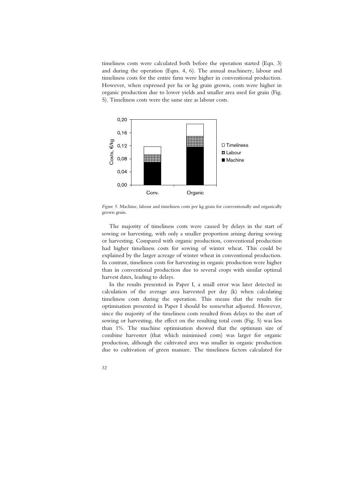timeliness costs were calculated both before the operation started (Eqn. 3) and during the operation (Eqns. 4, 6). The annual machinery, labour and timeliness costs for the entire farm were higher in conventional production. However, when expressed per ha or kg grain grown, costs were higher in organic production due to lower yields and smaller area used for grain (Fig. 5). Timeliness costs were the same size as labour costs.



*Figure 5.* Machine, labour and timeliness costs per kg grain for conventionally and organically grown grain.

The majority of timeliness costs were caused by delays in the start of sowing or harvesting, with only a smaller proportion arising during sowing or harvesting. Compared with organic production, conventional production had higher timeliness costs for sowing of winter wheat. This could be explained by the larger acreage of winter wheat in conventional production. In contrast, timeliness costs for harvesting in organic production were higher than in conventional production due to several crops with similar optimal harvest dates, leading to delays.

In the results presented in Paper I, a small error was later detected in calculation of the average area harvested per day (k) when calculating timeliness costs during the operation. This means that the results for optimisation presented in Paper I should be somewhat adjusted. However, since the majority of the timeliness costs resulted from delays to the start of sowing or harvesting, the effect on the resulting total costs (Fig. 5) was less than 1%. The machine optimisation showed that the optimum size of combine harvester (that which minimised costs) was larger for organic production, although the cultivated area was smaller in organic production due to cultivation of green manure. The timeliness factors calculated for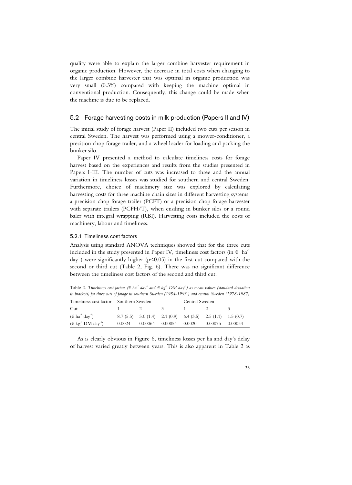quality were able to explain the larger combine harvester requirement in organic production. However, the decrease in total costs when changing to the larger combine harvester that was optimal in organic production was very small (0.3%) compared with keeping the machine optimal in conventional production. Consequently, this change could be made when the machine is due to be replaced.

#### 5.2 Forage harvesting costs in milk production (Papers II and IV)

The initial study of forage harvest (Paper II) included two cuts per season in central Sweden. The harvest was performed using a mower-conditioner, a precision chop forage trailer, and a wheel loader for loading and packing the bunker silo.

Paper IV presented a method to calculate timeliness costs for forage harvest based on the experiences and results from the studies presented in Papers I-III. The number of cuts was increased to three and the annual variation in timeliness losses was studied for southern and central Sweden. Furthermore, choice of machinery size was explored by calculating harvesting costs for three machine chain sizes in different harvesting systems: a precision chop forage trailer (PCFT) or a precision chop forage harvester with separate trailers (PCFH/T), when ensiling in bunker silos or a round baler with integral wrapping (RBI). Harvesting costs included the costs of machinery, labour and timeliness.

#### 5.2.1 Timeliness cost factors

Analysis using standard ANOVA techniques showed that for the three cuts included in the study presented in Paper IV, timeliness cost factors (in  $\epsilon$  ha<sup>-1</sup>  $day^{-1}$ ) were significantly higher ( $p<0.05$ ) in the first cut compared with the second or third cut (Table 2, Fig. 6). There was no significant difference between the timeliness cost factors of the second and third cut.

Table 2. Timeliness cost factors ( $\in$  ha<sup>-1</sup> day<sup>-1</sup> and  $\in$  kg<sup>-1</sup> DM day<sup>-1</sup>) as mean values (standard deviation *in brackets) for three cuts of forage in southern Sweden (1984-1993 ) and central Sweden (1978-1987)* 

| Timeliness cost factor Southern Sweden          |  |          |                                                                   | Central Sweden |  |  |
|-------------------------------------------------|--|----------|-------------------------------------------------------------------|----------------|--|--|
| Cut                                             |  | $\sim$ 2 | $\sim$ 3.                                                         |                |  |  |
| $(\in$ ha <sup>-1</sup> day <sup>-1</sup> )     |  |          | $8.7(5.5)$ $3.0(1.4)$ $2.1(0.9)$ $6.4(3.5)$ $2.5(1.1)$ $1.5(0.7)$ |                |  |  |
| ( $\in$ kg <sup>-1</sup> DM day <sup>-1</sup> ) |  |          | $0.0024$ $0.00064$ $0.00054$ $0.0020$ $0.00075$ $0.00054$         |                |  |  |

As is clearly obvious in Figure 6, timeliness losses per ha and day's delay of harvest varied greatly between years. This is also apparent in Table 2 as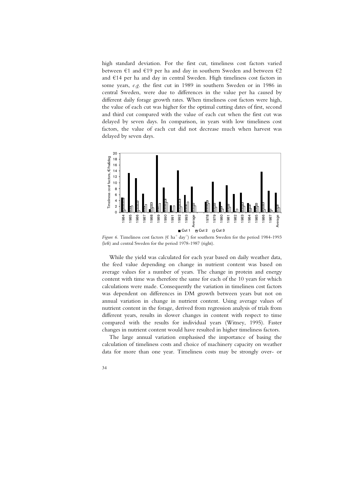high standard deviation. For the first cut, timeliness cost factors varied between  $\epsilon$ 1 and  $\epsilon$ 19 per ha and day in southern Sweden and between  $\epsilon$ 2 and  $E14$  per ha and day in central Sweden. High timeliness cost factors in some years, *e.g*. the first cut in 1989 in southern Sweden or in 1986 in central Sweden, were due to differences in the value per ha caused by different daily forage growth rates. When timeliness cost factors were high, the value of each cut was higher for the optimal cutting dates of first, second and third cut compared with the value of each cut when the first cut was delayed by seven days. In comparison, in years with low timeliness cost factors, the value of each cut did not decrease much when harvest was delayed by seven days.



*Figure 6.* Timeliness cost factors ( $\in$  ha<sup>-1</sup> day<sup>-1</sup>) for southern Sweden for the period 1984-1993 (left) and central Sweden for the period 1978-1987 (right).

While the yield was calculated for each year based on daily weather data, the feed value depending on change in nutrient content was based on average values for a number of years. The change in protein and energy content with time was therefore the same for each of the 10 years for which calculations were made. Consequently the variation in timeliness cost factors was dependent on differences in DM growth between years but not on annual variation in change in nutrient content. Using average values of nutrient content in the forage, derived from regression analysis of trials from different years, results in slower changes in content with respect to time compared with the results for individual years (Witney, 1995). Faster changes in nutrient content would have resulted in higher timeliness factors.

The large annual variation emphasised the importance of basing the calculation of timeliness costs and choice of machinery capacity on weather data for more than one year. Timeliness costs may be strongly over- or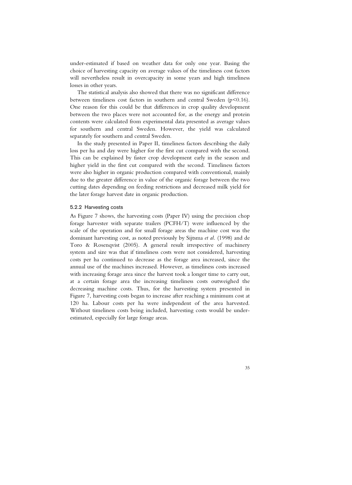under-estimated if based on weather data for only one year. Basing the choice of harvesting capacity on average values of the timeliness cost factors will nevertheless result in overcapacity in some years and high timeliness losses in other years.

The statistical analysis also showed that there was no significant difference between timeliness cost factors in southern and central Sweden (p<0.16). One reason for this could be that differences in crop quality development between the two places were not accounted for, as the energy and protein contents were calculated from experimental data presented as average values for southern and central Sweden. However, the yield was calculated separately for southern and central Sweden.

In the study presented in Paper II, timeliness factors describing the daily loss per ha and day were higher for the first cut compared with the second. This can be explained by faster crop development early in the season and higher yield in the first cut compared with the second. Timeliness factors were also higher in organic production compared with conventional, mainly due to the greater difference in value of the organic forage between the two cutting dates depending on feeding restrictions and decreased milk yield for the later forage harvest date in organic production.

#### 5.2.2 Harvesting costs

As Figure 7 shows, the harvesting costs (Paper IV) using the precision chop forage harvester with separate trailers (PCFH/T) were influenced by the scale of the operation and for small forage areas the machine cost was the dominant harvesting cost, as noted previously by Sijtsma *et al.* (1998) and de Toro & Rosenqvist (2005). A general result irrespective of machinery system and size was that if timeliness costs were not considered, harvesting costs per ha continued to decrease as the forage area increased, since the annual use of the machines increased. However, as timeliness costs increased with increasing forage area since the harvest took a longer time to carry out, at a certain forage area the increasing timeliness costs outweighed the decreasing machine costs. Thus, for the harvesting system presented in Figure 7, harvesting costs began to increase after reaching a minimum cost at 120 ha. Labour costs per ha were independent of the area harvested. Without timeliness costs being included, harvesting costs would be underestimated, especially for large forage areas.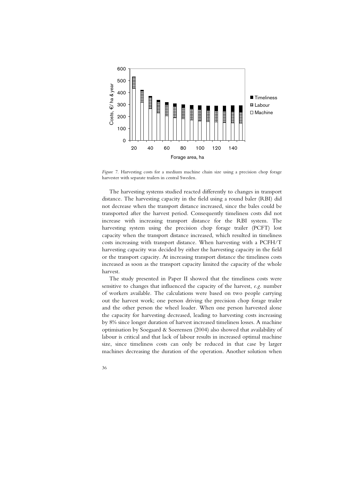

*Figure 7.* Harvesting costs for a medium machine chain size using a precision chop forage harvester with separate trailers in central Sweden.

The harvesting systems studied reacted differently to changes in transport distance. The harvesting capacity in the field using a round baler (RBI) did not decrease when the transport distance increased, since the bales could be transported after the harvest period. Consequently timeliness costs did not increase with increasing transport distance for the RBI system. The harvesting system using the precision chop forage trailer (PCFT) lost capacity when the transport distance increased, which resulted in timeliness costs increasing with transport distance. When harvesting with a PCFH/T harvesting capacity was decided by either the harvesting capacity in the field or the transport capacity. At increasing transport distance the timeliness costs increased as soon as the transport capacity limited the capacity of the whole harvest.

The study presented in Paper II showed that the timeliness costs were sensitive to changes that influenced the capacity of the harvest, *e.g*. number of workers available. The calculations were based on two people carrying out the harvest work; one person driving the precision chop forage trailer and the other person the wheel loader. When one person harvested alone the capacity for harvesting decreased, leading to harvesting costs increasing by 8% since longer duration of harvest increased timeliness losses. A machine optimisation by Soegaard & Soerensen (2004) also showed that availability of labour is critical and that lack of labour results in increased optimal machine size, since timeliness costs can only be reduced in that case by larger machines decreasing the duration of the operation. Another solution when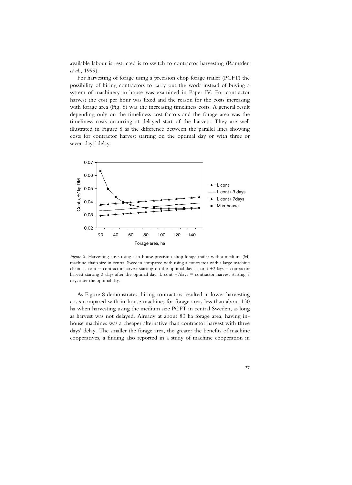available labour is restricted is to switch to contractor harvesting (Ramsden *et al.*, 1999).

For harvesting of forage using a precision chop forage trailer (PCFT) the possibility of hiring contractors to carry out the work instead of buying a system of machinery in-house was examined in Paper IV. For contractor harvest the cost per hour was fixed and the reason for the costs increasing with forage area (Fig. 8) was the increasing timeliness costs. A general result depending only on the timeliness cost factors and the forage area was the timeliness costs occurring at delayed start of the harvest. They are well illustrated in Figure 8 as the difference between the parallel lines showing costs for contractor harvest starting on the optimal day or with three or seven days' delay.



*Figure 8.* Harvesting costs using a in-house precision chop forage trailer with a medium (M) machine chain size in central Sweden compared with using a contractor with a large machine chain. L cont = contractor harvest starting on the optimal day; L cont +3days = contractor harvest starting 3 days after the optimal day; L cont +7days = contractor harvest starting 7 days after the optimal day.

As Figure 8 demonstrates, hiring contractors resulted in lower harvesting costs compared with in-house machines for forage areas less than about 130 ha when harvesting using the medium size PCFT in central Sweden, as long as harvest was not delayed. Already at about 80 ha forage area, having inhouse machines was a cheaper alternative than contractor harvest with three days' delay. The smaller the forage area, the greater the benefits of machine cooperatives, a finding also reported in a study of machine cooperation in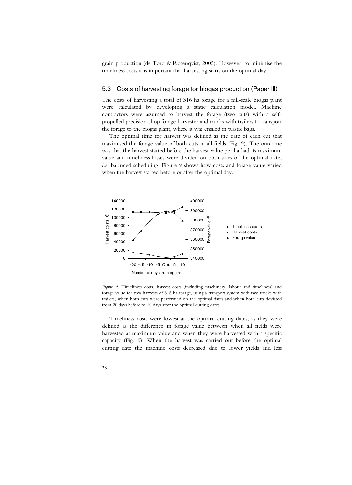grain production (de Toro & Rosenqvist, 2005). However, to minimise the timeliness costs it is important that harvesting starts on the optimal day.

#### 5.3 Costs of harvesting forage for biogas production (Paper III)

The costs of harvesting a total of 316 ha forage for a full-scale biogas plant were calculated by developing a static calculation model. Machine contractors were assumed to harvest the forage (two cuts) with a selfpropelled precision chop forage harvester and trucks with trailers to transport the forage to the biogas plant, where it was ensiled in plastic bags.

The optimal time for harvest was defined as the date of each cut that maximised the forage value of both cuts in all fields (Fig. 9). The outcome was that the harvest started before the harvest value per ha had its maximum value and timeliness losses were divided on both sides of the optimal date, *i.e*. balanced scheduling. Figure 9 shows how costs and forage value varied when the harvest started before or after the optimal day.



*Figure 9.* Timeliness costs, harvest costs (including machinery, labour and timeliness) and forage value for two harvests of 316 ha forage, using a transport system with two trucks with trailers, when both cuts were performed on the optimal dates and when both cuts deviated from 20 days before to 10 days after the optimal cutting dates.

Timeliness costs were lowest at the optimal cutting dates, as they were defined as the difference in forage value between when all fields were harvested at maximum value and when they were harvested with a specific capacity (Fig. 9). When the harvest was carried out before the optimal cutting date the machine costs decreased due to lower yields and less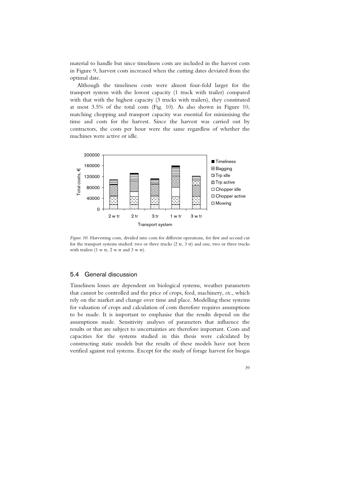material to handle but since timeliness costs are included in the harvest costs in Figure 9, harvest costs increased when the cutting dates deviated from the optimal date.

Although the timeliness costs were almost four-fold larger for the transport system with the lowest capacity (1 truck with trailer) compared with that with the highest capacity (3 trucks with trailers), they constituted at most 3.5% of the total costs (Fig. 10). As also shown in Figure 10, matching chopping and transport capacity was essential for minimising the time and costs for the harvest. Since the harvest was carried out by contractors, the costs per hour were the same regardless of whether the machines were active or idle.



*Figure 10.* Harvesting costs, divided into costs for different operations, for first and second cut for the transport systems studied: two or three trucks (2 tr, 3 tr) and one, two or three trucks with trailers (1 w tr, 2 w tr and 3 w tr).

#### 5.4 General discussion

Timeliness losses are dependent on biological systems, weather parameters that cannot be controlled and the price of crops, feed, machinery, *etc*., which rely on the market and change over time and place. Modelling these systems for valuation of crops and calculation of costs therefore requires assumptions to be made. It is important to emphasise that the results depend on the assumptions made. Sensitivity analyses of parameters that influence the results or that are subject to uncertainties are therefore important. Costs and capacities for the systems studied in this thesis were calculated by constructing static models but the results of these models have not been verified against real systems. Except for the study of forage harvest for biogas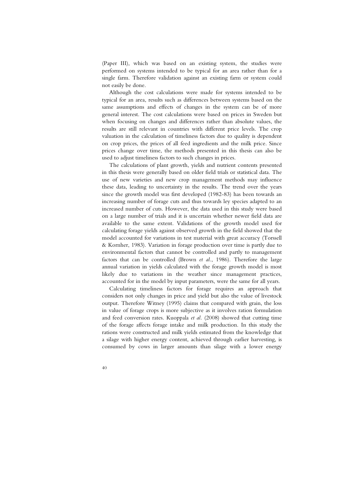(Paper III), which was based on an existing system, the studies were performed on systems intended to be typical for an area rather than for a single farm. Therefore validation against an existing farm or system could not easily be done.

Although the cost calculations were made for systems intended to be typical for an area, results such as differences between systems based on the same assumptions and effects of changes in the system can be of more general interest. The cost calculations were based on prices in Sweden but when focusing on changes and differences rather than absolute values, the results are still relevant in countries with different price levels. The crop valuation in the calculation of timeliness factors due to quality is dependent on crop prices, the prices of all feed ingredients and the milk price. Since prices change over time, the methods presented in this thesis can also be used to adjust timeliness factors to such changes in prices.

The calculations of plant growth, yields and nutrient contents presented in this thesis were generally based on older field trials or statistical data. The use of new varieties and new crop management methods may influence these data, leading to uncertainty in the results. The trend over the years since the growth model was first developed (1982-83) has been towards an increasing number of forage cuts and thus towards ley species adapted to an increased number of cuts. However, the data used in this study were based on a large number of trials and it is uncertain whether newer field data are available to the same extent. Validations of the growth model used for calculating forage yields against observed growth in the field showed that the model accounted for variations in test material with great accuracy (Torssell & Kornher, 1983). Variation in forage production over time is partly due to environmental factors that cannot be controlled and partly to management factors that can be controlled (Brown *et al.*, 1986). Therefore the large annual variation in yields calculated with the forage growth model is most likely due to variations in the weather since management practices, accounted for in the model by input parameters, were the same for all years.

Calculating timeliness factors for forage requires an approach that considers not only changes in price and yield but also the value of livestock output. Therefore Witney (1995) claims that compared with grain, the loss in value of forage crops is more subjective as it involves ration formulation and feed conversion rates. Kuoppala *et al.* (2008) showed that cutting time of the forage affects forage intake and milk production. In this study the rations were constructed and milk yields estimated from the knowledge that a silage with higher energy content, achieved through earlier harvesting, is consumed by cows in larger amounts than silage with a lower energy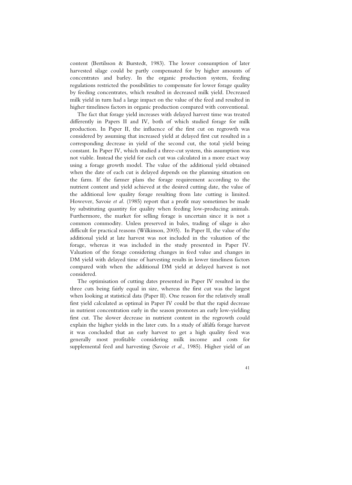content (Bertilsson & Burstedt, 1983). The lower consumption of later harvested silage could be partly compensated for by higher amounts of concentrates and barley. In the organic production system, feeding regulations restricted the possibilities to compensate for lower forage quality by feeding concentrates, which resulted in decreased milk yield. Decreased milk yield in turn had a large impact on the value of the feed and resulted in higher timeliness factors in organic production compared with conventional.

The fact that forage yield increases with delayed harvest time was treated differently in Papers II and IV, both of which studied forage for milk production. In Paper II, the influence of the first cut on regrowth was considered by assuming that increased yield at delayed first cut resulted in a corresponding decrease in yield of the second cut, the total yield being constant. In Paper IV, which studied a three-cut system, this assumption was not viable. Instead the yield for each cut was calculated in a more exact way using a forage growth model. The value of the additional yield obtained when the date of each cut is delayed depends on the planning situation on the farm. If the farmer plans the forage requirement according to the nutrient content and yield achieved at the desired cutting date, the value of the additional low quality forage resulting from late cutting is limited. However, Savoie *et al.* (1985) report that a profit may sometimes be made by substituting quantity for quality when feeding low-producing animals. Furthermore, the market for selling forage is uncertain since it is not a common commodity. Unless preserved in bales, trading of silage is also difficult for practical reasons (Wilkinson, 2005). In Paper II, the value of the additional yield at late harvest was not included in the valuation of the forage, whereas it was included in the study presented in Paper IV. Valuation of the forage considering changes in feed value and changes in DM yield with delayed time of harvesting results in lower timeliness factors compared with when the additional DM yield at delayed harvest is not considered.

The optimisation of cutting dates presented in Paper IV resulted in the three cuts being fairly equal in size, whereas the first cut was the largest when looking at statistical data (Paper II). One reason for the relatively small first yield calculated as optimal in Paper IV could be that the rapid decrease in nutrient concentration early in the season promotes an early low-yielding first cut. The slower decrease in nutrient content in the regrowth could explain the higher yields in the later cuts. In a study of alfalfa forage harvest it was concluded that an early harvest to get a high quality feed was generally most profitable considering milk income and costs for supplemental feed and harvesting (Savoie *et al.*, 1985). Higher yield of an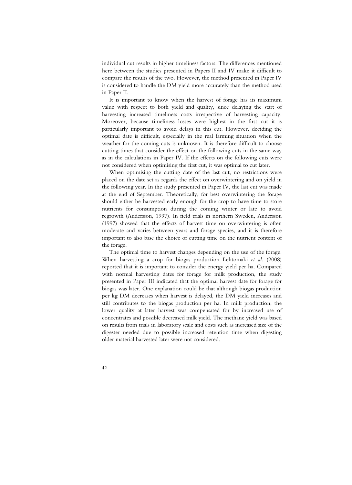individual cut results in higher timeliness factors. The differences mentioned here between the studies presented in Papers II and IV make it difficult to compare the results of the two. However, the method presented in Paper IV is considered to handle the DM yield more accurately than the method used in Paper II.

It is important to know when the harvest of forage has its maximum value with respect to both yield and quality, since delaying the start of harvesting increased timeliness costs irrespective of harvesting capacity. Moreover, because timeliness losses were highest in the first cut it is particularly important to avoid delays in this cut. However, deciding the optimal date is difficult, especially in the real farming situation when the weather for the coming cuts is unknown. It is therefore difficult to choose cutting times that consider the effect on the following cuts in the same way as in the calculations in Paper IV. If the effects on the following cuts were not considered when optimising the first cut, it was optimal to cut later.

When optimising the cutting date of the last cut, no restrictions were placed on the date set as regards the effect on overwintering and on yield in the following year. In the study presented in Paper IV, the last cut was made at the end of September. Theoretically, for best overwintering the forage should either be harvested early enough for the crop to have time to store nutrients for consumption during the coming winter or late to avoid regrowth (Andersson, 1997). In field trials in northern Sweden, Andersson (1997) showed that the effects of harvest time on overwintering is often moderate and varies between years and forage species, and it is therefore important to also base the choice of cutting time on the nutrient content of the forage.

The optimal time to harvest changes depending on the use of the forage. When harvesting a crop for biogas production Lehtomäki *et al.* (2008) reported that it is important to consider the energy yield per ha. Compared with normal harvesting dates for forage for milk production, the study presented in Paper III indicated that the optimal harvest date for forage for biogas was later. One explanation could be that although biogas production per kg DM decreases when harvest is delayed, the DM yield increases and still contributes to the biogas production per ha. In milk production, the lower quality at later harvest was compensated for by increased use of concentrates and possible decreased milk yield. The methane yield was based on results from trials in laboratory scale and costs such as increased size of the digester needed due to possible increased retention time when digesting older material harvested later were not considered.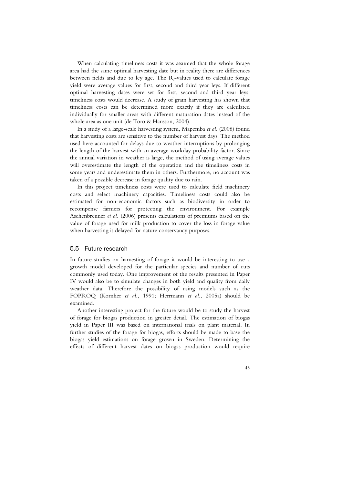When calculating timeliness costs it was assumed that the whole forage area had the same optimal harvesting date but in reality there are differences between fields and due to ley age. The  $R$ <sub>s</sub>-values used to calculate forage yield were average values for first, second and third year leys. If different optimal harvesting dates were set for first, second and third year leys, timeliness costs would decrease. A study of grain harvesting has shown that timeliness costs can be determined more exactly if they are calculated individually for smaller areas with different maturation dates instead of the whole area as one unit (de Toro & Hansson, 2004).

In a study of a large-scale harvesting system, Mapemba *et al.* (2008) found that harvesting costs are sensitive to the number of harvest days. The method used here accounted for delays due to weather interruptions by prolonging the length of the harvest with an average workday probability factor. Since the annual variation in weather is large, the method of using average values will overestimate the length of the operation and the timeliness costs in some years and underestimate them in others. Furthermore, no account was taken of a possible decrease in forage quality due to rain.

In this project timeliness costs were used to calculate field machinery costs and select machinery capacities. Timeliness costs could also be estimated for non-economic factors such as biodiversity in order to recompense farmers for protecting the environment. For example Aschenbrenner *et al.* (2006) presents calculations of premiums based on the value of forage used for milk production to cover the loss in forage value when harvesting is delayed for nature conservancy purposes.

#### 5.5 Future research

In future studies on harvesting of forage it would be interesting to use a growth model developed for the particular species and number of cuts commonly used today. One improvement of the results presented in Paper IV would also be to simulate changes in both yield and quality from daily weather data. Therefore the possibility of using models such as the FOPROQ (Kornher *et al.*, 1991; Herrmann *et al.*, 2005a) should be examined.

Another interesting project for the future would be to study the harvest of forage for biogas production in greater detail. The estimation of biogas yield in Paper III was based on international trials on plant material. In further studies of the forage for biogas, efforts should be made to base the biogas yield estimations on forage grown in Sweden. Determining the effects of different harvest dates on biogas production would require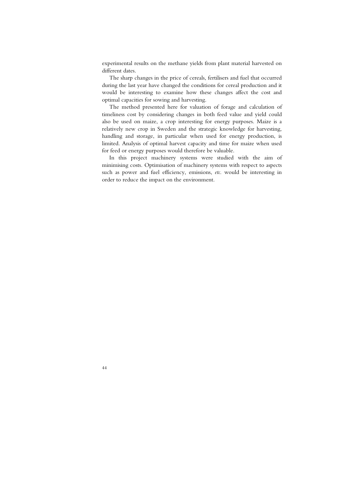experimental results on the methane yields from plant material harvested on different dates.

The sharp changes in the price of cereals, fertilisers and fuel that occurred during the last year have changed the conditions for cereal production and it would be interesting to examine how these changes affect the cost and optimal capacities for sowing and harvesting.

The method presented here for valuation of forage and calculation of timeliness cost by considering changes in both feed value and yield could also be used on maize, a crop interesting for energy purposes. Maize is a relatively new crop in Sweden and the strategic knowledge for harvesting, handling and storage, in particular when used for energy production, is limited. Analysis of optimal harvest capacity and time for maize when used for feed or energy purposes would therefore be valuable.

In this project machinery systems were studied with the aim of minimising costs. Optimisation of machinery systems with respect to aspects such as power and fuel efficiency, emissions, *etc*. would be interesting in order to reduce the impact on the environment.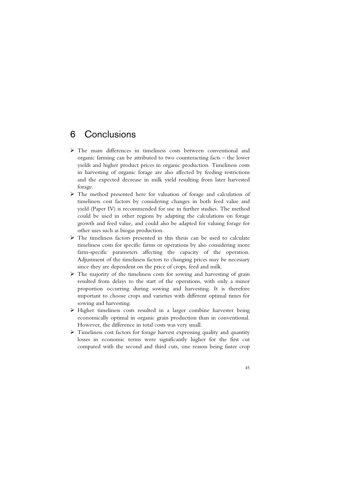## 6 Conclusions

- ¾ The main differences in timeliness costs between conventional and organic farming can be attributed to two counteracting facts – the lower yields and higher product prices in organic production. Timeliness costs in harvesting of organic forage are also affected by feeding restrictions and the expected decrease in milk yield resulting from later harvested forage.
- ¾ The method presented here for valuation of forage and calculation of timeliness cost factors by considering changes in both feed value and yield (Paper IV) is recommended for use in further studies. The method could be used in other regions by adapting the calculations on forage growth and feed value, and could also be adapted for valuing forage for other uses such as biogas production.
- $\triangleright$  The timeliness factors presented in this thesis can be used to calculate timeliness costs for specific farms or operations by also considering more farm-specific parameters affecting the capacity of the operation. Adjustment of the timeliness factors to changing prices may be necessary since they are dependent on the price of crops, feed and milk.
- $\triangleright$  The majority of the timeliness costs for sowing and harvesting of grain resulted from delays to the start of the operations, with only a minor proportion occurring during sowing and harvesting. It is therefore important to choose crops and varieties with different optimal times for sowing and harvesting.
- ¾ Higher timeliness costs resulted in a larger combine harvester being economically optimal in organic grain production than in conventional. However, the difference in total costs was very small.
- ¾ Timeliness cost factors for forage harvest expressing quality and quantity losses in economic terms were significantly higher for the first cut compared with the second and third cuts, one reason being faster crop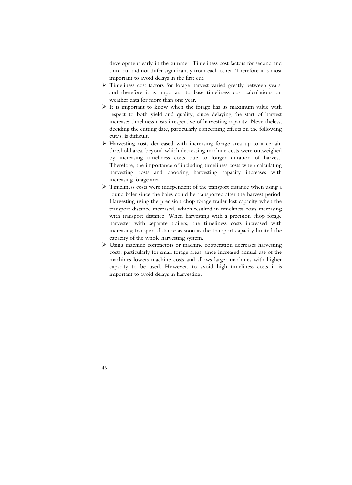development early in the summer. Timeliness cost factors for second and third cut did not differ significantly from each other. Therefore it is most important to avoid delays in the first cut.

- ¾ Timeliness cost factors for forage harvest varied greatly between years, and therefore it is important to base timeliness cost calculations on weather data for more than one year.
- $\triangleright$  It is important to know when the forage has its maximum value with respect to both yield and quality, since delaying the start of harvest increases timeliness costs irrespective of harvesting capacity. Nevertheless, deciding the cutting date, particularly concerning effects on the following cut/s, is difficult.
- $\triangleright$  Harvesting costs decreased with increasing forage area up to a certain threshold area, beyond which decreasing machine costs were outweighed by increasing timeliness costs due to longer duration of harvest. Therefore, the importance of including timeliness costs when calculating harvesting costs and choosing harvesting capacity increases with increasing forage area.
- $\triangleright$  Timeliness costs were independent of the transport distance when using a round baler since the bales could be transported after the harvest period. Harvesting using the precision chop forage trailer lost capacity when the transport distance increased, which resulted in timeliness costs increasing with transport distance. When harvesting with a precision chop forage harvester with separate trailers, the timeliness costs increased with increasing transport distance as soon as the transport capacity limited the capacity of the whole harvesting system.
- ¾ Using machine contractors or machine cooperation decreases harvesting costs, particularly for small forage areas, since increased annual use of the machines lowers machine costs and allows larger machines with higher capacity to be used. However, to avoid high timeliness costs it is important to avoid delays in harvesting.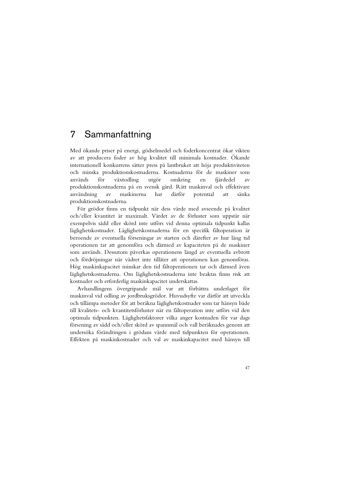### 7 Sammanfattning

Med ökande priser på energi, gödselmedel och foderkoncentrat ökar vikten av att producera foder av hög kvalitet till minimala kostnader. Ökande internationell konkurrens sätter press på lantbruket att höja produktiviteten och minska produktionskostnaderna. Kostnaderna för de maskiner som används för växtodling utgör omkring en fjärdedel av produktionskostnaderna på en svensk gård. Rätt maskinval och effektivare användning av maskinerna har därför potential att sänka produktionskostnaderna.

För grödor finns en tidpunkt när dess värde med avseende på kvalitet och/eller kvantitet är maximalt. Värdet av de förluster som uppstår när exempelvis sådd eller skörd inte utförs vid denna optimala tidpunkt kallas läglighetskostnader. Läglighetskostnaderna för en specifik fältoperation är beroende av eventuella förseningar av starten och därefter av hur lång tid operationen tar att genomföra och därmed av kapaciteten på de maskiner som används. Dessutom påverkas operationens längd av eventuella avbrott och fördröjningar när vädret inte tillåter att operationen kan genomföras. Hög maskinkapacitet minskar den tid fältoperationen tar och därmed även läglighetskostnaderna. Om läglighetskostnaderna inte beaktas finns risk att kostnader och erforderlig maskinkapacitet underskattas.

Avhandlingens övergripande mål var att förbättra underlaget för maskinval vid odling av jordbruksgrödor. Huvudsyfte var därför att utveckla och tillämpa metoder för att beräkna läglighetskostnader som tar hänsyn både till kvalitets- och kvantitetsförluster när en fältoperation inte utförs vid den optimala tidpunkten. Läglighetsfaktorer vilka anger kostnaden för var dags försening av sådd och/eller skörd av spannmål och vall beräknades genom att undersöka förändringen i grödans värde med tidpunkten för operationen. Effekten på maskinkostnader och val av maskinkapacitet med hänsyn till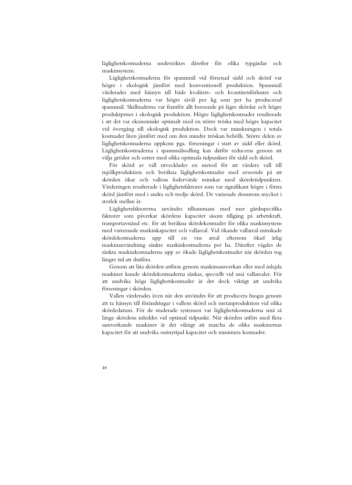läglighetskostnaderna undersöktes därefter för olika typgårdar och maskinsystem.

Läglighetskostnaderna för spannmål vid försenad sådd och skörd var högre i ekologisk jämfört med konventionell produktion. Spannmål värderades med hänsyn till både kvalitets- och kvantitetsförluster och läglighetskostnaderna var högre såväl per kg som per ha producerad spannmål. Skillnaderna var framför allt beroende på lägre skördar och högre produktpriser i ekologisk produktion. Högre läglighetskostnader resulterade i att det var ekonomiskt optimalt med en större tröska med högre kapacitet vid övergång till ekologisk produktion. Dock var minskningen i totala kostnader liten jämfört med om den mindre tröskan behölls. Större delen av läglighetskostnaderna uppkom pga. förseningar i start av sådd eller skörd. Läglighetskostnaderna i spannmålsodling kan därför reduceras genom att välja grödor och sorter med olika optimala tidpunkter för sådd och skörd.

För skörd av vall utvecklades en metod för att värdera vall till mjölkproduktion och beräkna läglighetskostnader med avseende på att skörden ökar och vallens fodervärde minskar med skördetidpunkten. Värderingen resulterade i läglighetsfaktorer som var signifikant högre i första skörd jämfört med i andra och tredje skörd. De varierade dessutom mycket i storlek mellan år.

Läglighetsfaktorerna användes tillsammans med mer gårdsspecifika faktorer som påverkar skördens kapacitet såsom tillgång på arbetskraft, transportavstånd etc. för att beräkna skördekostnader för olika maskinsystem med varierande maskinkapacitet och vallareal. Vid ökande vallareal minskade skördekostnaderna upp till en viss areal eftersom ökad årlig maskinanvändning sänkte maskinkostnaderna per ha. Därefter vägdes de sänkta maskinkostnaderna upp av ökade läglighetskostnader när skörden tog längre tid att slutföra.

Genom att låta skörden utföras genom maskinsamverkan eller med inlejda maskiner kunde skördekostnaderna sänkas, speciellt vid små vallarealer. För att undvika höga läglighetskostnader är det dock viktigt att undvika förseningar i skörden.

Vallen värderades även när den användes för att producera biogas genom att ta hänsyn till förändringar i vallens skörd och metanproduktion vid olika skördedatum. För de studerade systemen var läglighetskostnaderna små så länge skördens inleddes vid optimal tidpunkt. När skörden utförs med flera samverkande maskiner är det viktigt att matcha de olika maskinernas kapacitet för att undvika outnyttjad kapacitet och minimera kostnader.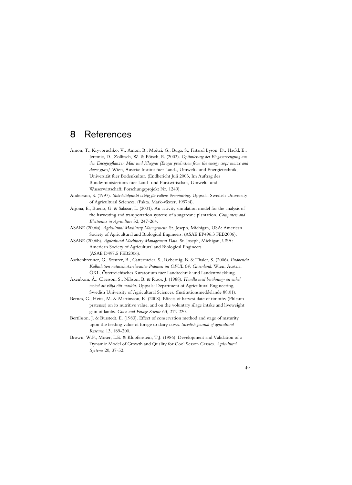### 8 References

- Amon, T., Kryvoruchko, V., Amon, B., Moitzi, G., Buga, S., Fistarol Lyson, D., Hackl, E., Jeremic, D., Zollitsch, W. & Pötsch, E. (2003). *Optimierung der Biogaserzeugung aus den Energiepflanzen Mais und Kleegras [Biogas production from the energy crops maize and clover grass]*. Wien, Austria: Institut fuer Land-, Umwelt- und Energietechnik, Universität fuer Bodenkultur. (Endbericht Juli 2003, Im Auftrag des Bundesministeriums fuer Land- und Forstwirtschaft, Umwelt- und Wasserwirtschaft, Forschungsprojekt Nr. 1249).
- Andersson, S. (1997). *Skördetidpunkt viktig för vallens övervintring*. Uppsala: Swedish University of Agricultural Sciences. (Fakta. Mark-växter, 1997:4).
- Arjona, E., Bueno, G. & Salazar, L. (2001). An activity simulation model for the analysis of the harvesting and transportation systems of a sugarcane plantation. *Computers and Electronics in Agriculture* 32, 247-264.
- ASABE (2006a). *Agricultural Machinery Management*. St. Joseph, Michigan, USA: American Society of Agricultural and Biological Engineers. (ASAE EP496.3 FEB2006).
- ASABE (2006b). *Agricultural Machinery Management Data*. St. Joseph, Michigan, USA: American Society of Agricultural and Biological Engineers (ASAE D497.5 FEB2006).
- Aschenbrenner, G., Steurer, B., Gattermeier, S., Rebernig, B. & Thaler, S. (2006). *Endbericht Kalkulation naturschutzrelevanter Prämien im ÖPUL 04, Gruenland*. Wien, Austria: ÖKL, Österreichisches Kuratorium fuer Landtechnik und Landentwicklung.
- Axenbom, Å., Claesson, S., Nilsson, B. & Roos, J. (1988). *Handla med beräkning- en enkel metod att välja rätt maskin*. Uppsala: Department of Agricultural Engineering, Swedish University of Agricultural Sciences. (Institutionsmeddelande 88:01).
- Bernes, G., Hetta, M. & Martinsson, K. (2008). Effects of harvest date of timothy (Phleum pratense) on its nutritive value, and on the voluntary silage intake and liveweight gain of lambs. *Grass and Forage Science* 63, 212-220.
- Bertilsson, J. & Burstedt, E. (1983). Effect of conservation method and stage of maturity upon the feeding value of forage to dairy cows. *Swedish Journal of agricultural Research* 13, 189-200.
- Brown, W.F., Moser, L.E. & Klopfenstein, T.J. (1986). Development and Validation of a Dynamic Model of Growth and Quality for Cool Season Grasses. *Agricultural Systems* 20, 37-52.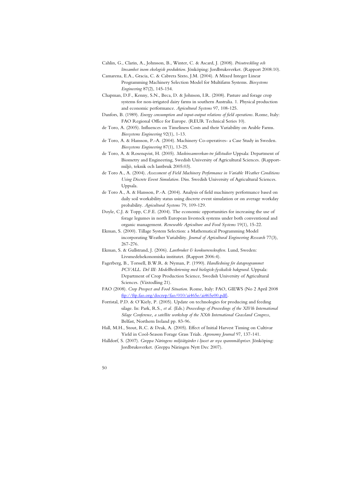- Cahlin, G., Clarin, A., Johnsson, B., Winter, C. & Ascard, J. (2008). *Prisutveckling och lönsamhet inom ekologisk produktion*. Jönköping: Jordbruksverket. (Rapport 2008:10).
- Camarena, E.A., Gracia, C. & Cabrera Sixto, J.M. (2004). A Mixed Integer Linear Programming Machinery Selection Model for Multifarm Systems. *Biosystems Engineering* 87(2), 145-154.
- Chapman, D.F., Kenny, S.N., Beca, D. & Johnson, I.R. (2008). Pasture and forage crop systems for non-irrigated dairy farms in southern Australia. 1. Physical production and economic performance. *Agricultural Systems* 97, 108-125.
- Danfors, B. (1989). *Energy consumption and input-output relations of field operations*. Rome, Italy: FAO Regional Office for Europe. (REUR Technical Series 10).
- de Toro, A. (2005). Influences on Timeliness Costs and their Variability on Arable Farms. *Biosystems Engineering* 92(1), 1-13.
- de Toro, A. & Hansson, P.-A. (2004). Machinery Co-operatives- a Case Study in Sweden. *Biosystems Engineering* 87(1), 13-25.
- de Toro, A. & Rosenqvist, H. (2005). *Maskinsamverkan-tre fallstudier* Uppsala: Department of Biometry and Engineering, Swedish University of Agricultural Sciences. (Rapportmiljö, teknik och lantbruk 2005:03).
- de Toro A., A. (2004). *Assessment of Field Machinery Performance in Variable Weather Conditions Using Discrete Event Simulation.* Diss. Swedish University of Agricultural Sciences. Uppsala.
- de Toro A., A. & Hansson, P.-A. (2004). Analysis of field machinery performance based on daily soil workability status using discrete event simulation or on average workday probability. *Agricultural Systems* 79, 109-129.
- Doyle, C.J. & Topp, C.F.E. (2004). The economic opportunities for increasing the use of forage legumes in north European livestock systems under both conventional and organic management. *Renewable Agriculture and Food Systems* 19(1), 15-22.
- Ekman, S. (2000). Tillage System Selection: a Mathematical Programming Model incorporating Weather Variability. *Journal of Agricultural Engineering Research* 77(3), 267-276.
- Ekman, S. & Gullstrand, J. (2006). *Lantbruket & konkurrenskraften*. Lund, Sweden: Livsmedelsekonomiska institutet. (Rapport 2006:4).
- Fagerberg, B., Torssell, B.W.R. & Nyman, P. (1990). *Handledning för dataprogrammet PCVALL. Del III: Modellbeskrivning med biologisk-fysikalisk bakgrund*. Uppsala: Department of Crop Production Science, Swedish University of Agricultural Sciences. (Växtodling 21).
- FAO (2008). *Crop Prospect and Food Situation*. Rome, Italy: FAO, GIEWS (No 2 April 2008 ftp://ftp.fao.org/docrep/fao/010/ai465e/ai465e00.pdf).
- Forristal, P.D. & O´Kiely, P. (2005). Update on technologies for producing and feeding silage. In: Park, R.S.*, et al.* (Eds.) *Proceedings of Proceedings of the XIVth International Silage Conference, a satellite workshop of the XXth International Grassland Congress*, Belfast, Northern Ireland pp. 83-96.
- Hall, M.H., Stout, R.C. & Deak, A. (2005). Effect of Initial Harvest Timing on Cultivar Yield in Cool-Season Forage Grass Trials. *Agronomy Journal* 97, 137-141.
- Halldorf, S. (2007). *Greppa Näringens miljöåtgärder i ljuset av nya spannmålspriser*. Jönköping: Jordbruksverket. (Greppa Näringen Nytt Dec 2007).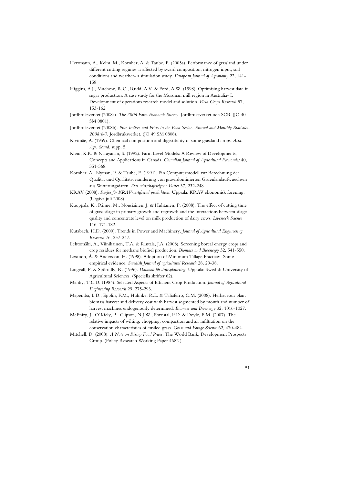- Herrmann, A., Kelm, M., Kornher, A. & Taube, F. (2005a). Performance of grassland under different cutting regimes as affected by sward composition, nitrogen input, soil conditions and weather- a simulation study. *European Journal of Agronomy* 22, 141- 158.
- Higgins, A.J., Muchow, R.C., Rudd, A.V. & Ford, A.W. (1998). Optimising harvest date in sugar production: A case study for the Mossman mill region in Australia- I. Development of operations research model and solution. *Field Crops Research* 57, 153-162.
- Jordbruksverket (2008a). *The 2006 Farm Economic Survey*. Jordbruksverket och SCB. (JO 40 SM 0801).
- Jordbruksverket (2008b). *Price Indices and Prices in the Food Sector- Annual and Monthly Statistics-2008:6-7*. Jordbruksverket. (JO 49 SM 0808).
- Kivimäe, A. (1959). Chemical composition and digestibility of some grassland crops. *Acta. Agr. Scand.* supp. 5
- Klein, K.K. & Narayanan, S. (1992). Farm Level Models: A Review of Developments, Concepts and Applications in Canada. *Canadian Journal of Agricultural Economics* 40, 351-368.
- Kornher, A., Nyman, P. & Taube, F. (1991). Ein Computermodell zur Berechnung der Qualität und Qualitätsveränderung von gräserdominierten Gruenlandaufwuechsen aus Witterungsdaten. *Das wirtschaftseigene Futter* 37, 232-248.
- KRAV (2008). *Regler för KRAV-certifierad produktion*. Uppsala: KRAV ekonomisk förening. (Utgåva juli 2008).
- Kuoppala, K., Rinne, M., Nousiainen, J. & Huhtanen, P. (2008). The effect of cutting time of grass silage in primary growth and regrowth and the interactions between silage quality and concentrate level on milk production of dairy cows. *Livestock Science* 116, 171-182.
- Kutzbach, H.D. (2000). Trends in Power and Machinery. *Journal of Agricultural Engineering Research* 76, 237-247.
- Lehtomäki, A., Viinikainen, T.A. & Rintala, J.A. (2008). Screening boreal energy crops and crop residues for methane biofuel production. *Biomass and Bioenergy* 32, 541-550.
- Lexmon, Å. & Andersson, H. (1998). Adoption of Minimum Tillage Practices. Some empirical evidence. *Swedish Journal of agricultural Research* 28, 29-38.
- Lingvall, P. & Spörndly, R. (1996). *Databok för driftsplanering*. Uppsala: Swedish University of Agricultural Sciences. (Speciella skrifter 62).
- Manby, T.C.D. (1984). Selected Aspects of Efficient Crop Production. *Journal of Agricultural Engineering Research* 29, 275-293.
- Mapemba, L.D., Epplin, F.M., Huhnke, R.L. & Taliaferro, C.M. (2008). Herbaceous plant biomass harvest and delivery cost with harvest segmented by month and number of harvest machines endogenously determined. *Biomass and Bioenergy* 32, 1016-1027.
- McEniry, J., O´Kiely, P., Clipson, N.J.W., Forristal, P.D. & Doyle, E.M. (2007). The relative impacts of wilting, chopping, compaction and air infiltration on the conservation characteristics of ensiled grass. *Grass and Forage Science* 62, 470-484.
- Mitchell, D. (2008). *A Note on Rising Food Prices*. The World Bank, Development Prospects Group. (Policy Research Working Paper 4682 ).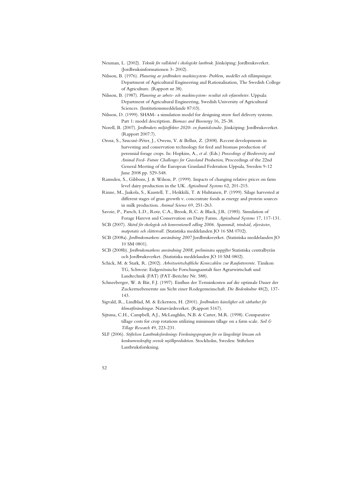- Neuman, L. (2002). *Teknik för vallskörd i ekologiskt lantbruk*. Jönköping: Jordbruksverket. (Jordbruksinformationen 3- 2002).
- Nilsson, B. (1976). *Planering av jordbrukets maskinsystem- Problem, modeller och tillämpningar*. Department of Agricultural Engineering and Rationalisation, The Swedish College of Agriculture. (Rapport nr 38).
- Nilsson, B. (1987). *Planering av arbets- och maskinsystem- resultat och erfarenheter*. Uppsala: Department of Agricultural Engineering, Swedish University of Agricultural Sciences. (Institutionsmeddelande 87:03).
- Nilsson, D. (1999). SHAM- a simulation model for designing straw fuel delivery systems. Part 1: model description. *Biomass and Bioenergy* 16, 25-38.
- Norell, B. (2007). *Jordbrukets miljöeffekter 2020- en framtidsstudie*. Jönköping: Jordbruksverket. (Rapport 2007:7).
- Orosz, S., Szucsné-Péter, J., Owens, V. & Belluz, Z. (2008). Recent developments in harvesting and conservation technology for feed and biomass production of perennial forage crops. In: Hopkins, A.*, et al.* (Eds.) *Proceedings of Biodiversity and Animal Feed- Future Challenges for Grassland Production*, Proceedings of the 22nd General Meeting of the European Grassland Federation Uppsala, Sweden 9-12 June 2008 pp. 529-548.
- Ramsden, S., Gibbons, J. & Wilson, P. (1999). Impacts of changing relative prices on farm level dairy production in the UK. *Agricultural Systems* 62, 201-215.
- Rinne, M., Jaakola, S., Kaustell, T., Heikkilä, T. & Huhtanen, P. (1999). Silage harvested at different stages of grass growth v. concentrate foods as energy and protein sources in milk production. *Animal Science* 69, 251-263.
- Savoie, P., Parsch, L.D., Rotz, C.A., Brook, R.C. & Black, J.R. (1985). Simulation of Forage Harevst and Conservation on Dairy Farms. *Agricultural Systems* 17, 117-131.
- SCB (2007). *Skörd för ekologisk och konventionell odling 2006. Spannmål, trindsäd, oljeväxter, matpotatis och slåttervall*. (Statistiska meddelanden JO 16 SM 0702).
- SCB (2008a). *Jordbruksmarkens användning 2007* Jordbruksverket. (Statistiska meddelanden JO 10 SM 0801).
- SCB (2008b). *Jordbruksmarkens användning 2008, preliminära uppgifter* Statistiska centralbyrån och Jordbruksverket. (Statistiska meddelanden JO 10 SM 0802).
- Schick, M. & Stark, R. (2002). *Arbeitswirtschaftliche Kennzahlen zur Raufutterernte*. Tänikon TG, Schweiz: Eidgenössische Forschungsanstalt fuer Agrarwirtschaft und Landtechnik (FAT) (FAT-Berichte Nr. 588).
- Schneeberger, W. & Bär, F.J. (1997). Einfluss der Terminkosten auf die optimale Dauer der Zuckerruebenernte aus Sicht einer Rodegemeinschaft. *Die Bodenkultur* 48(2), 137- 143.
- Sigvald, R., Lindblad, M. & Eckersten, H. (2001). *Jordbrukets känslighet och sårbarhet för klimatförändringar*. Naturvårdsverket. (Rapport 5167).
- Sijtsma, C.H., Campbell, A.J., McLaughlin, N.B. & Carter, M.R. (1998). Comparative tillage costs for crop rotations utilizing minimum tillage on a farm scale. *Soil & Tillage Research* 49, 223-231.
- SLF (2006). *Stiftelsen Lantbruksforsknings Forskningsprogram för en långsiktigt lönsam och konkurrenskraftig svensk mjölkproduktion*. Stockholm, Sweden: Stiftelsen Lantbruksforskning.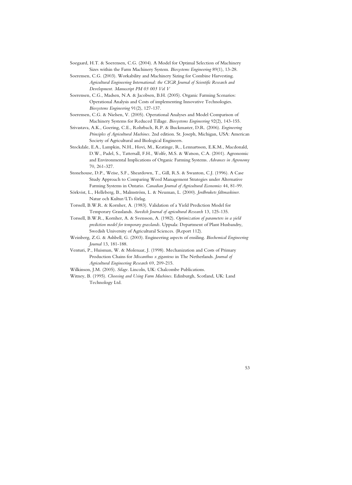- Soegaard, H.T. & Soerensen, C.G. (2004). A Model for Optimal Selection of Machinery Sizes within the Farm Machinery System. *Biosystems Engineering* 89(1), 13-28.
- Soerensen, C.G. (2003). Workability and Machinery Sizing for Combine Harvesting. *Agricultural Engineering International: the CIGR Journal of Scientific Research and Development. Manuscript PM 03 003 Vol V*
- Soerensen, C.G., Madsen, N.A. & Jacobsen, B.H. (2005). Organic Farming Scenarios: Operational Analysis and Costs of implementing Innovative Technologies. *Biosystems Engineering* 91(2), 127-137.
- Soerensen, C.G. & Nielsen, V. (2005). Operational Analyses and Model Comparison of Machinery Systems for Reduced Tillage. *Biosystems Engineering* 92(2), 143-155.
- Srivastava, A.K., Goering, C.E., Rohrbach, R.P. & Buckmaster, D.R. (2006). *Engineering Principles of Agricultural Machines*. 2nd edition. St. Joseph, Michigan, USA: American Society of Agricultural and Biological Engineers.
- Stockdale, E.A., Lampkin, N.H., Hovi, M., Keatinge, R., Lennartsson, E.K.M., Macdonald, D.W., Padel, S., Tattersall, F.H., Wolfe, M.S. & Watson, C.A. (2001). Agronomic and Environmental Implications of Organic Farming Systems. *Advances in Agronomy* 70, 261-327.
- Stonehouse, D.P., Weise, S.F., Sheardown, T., Gill, R.S. & Swanton, C.J. (1996). A Case Study Approach to Comparing Weed Management Strategies under Alternative Farming Systems in Ontario. *Canadian Journal of Agricultural Economics* 44, 81-99.
- Sörkvist, L., Helleberg, B., Malmström, L. & Neuman, L. (2000). *Jordbrukets fältmaskiner*. Natur och Kultur/LTs förlag.
- Torssell, B.W.R. & Kornher, A. (1983). Validation of a Yield Prediction Model for Temporary Grasslands. *Swedish Journal of agricultural Research* 13, 125-135.
- Torssell, B.W.R., Kornher, A. & Svensson, A. (1982). *Optimization of parameters in a yield prediction model for temporary grasslands*. Uppsala: Department of Plant Husbandry, Swedish University of Agricultural Sciences. (Report 112).
- Weinberg, Z.G. & Ashbell, G. (2003). Engineering aspects of ensiling. *Biochemical Engineering Journal* 13, 181-188.
- Venturi, P., Huisman, W. & Molenaar, J. (1998). Mechanization and Costs of Primary Production Chains for *Miscanthus x giganteus* in The Netherlands. *Journal of Agricultural Engineering Research* 69, 209-215.
- Wilkinson, J.M. (2005). *Silage*. Lincoln, UK: Chalcombe Publications.
- Witney, B. (1995). *Choosing and Using Farm Machines*. Edinburgh, Scotland, UK: Land Technology Ltd.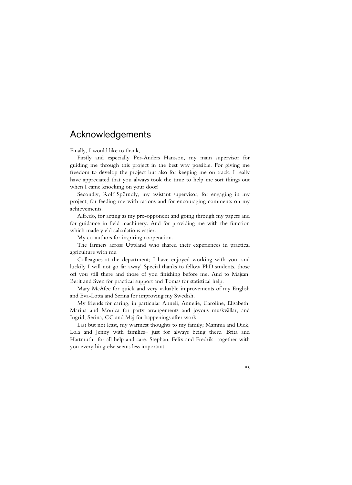### Acknowledgements

Finally, I would like to thank,

Firstly and especially Per-Anders Hansson, my main supervisor for guiding me through this project in the best way possible. For giving me freedom to develop the project but also for keeping me on track. I really have appreciated that you always took the time to help me sort things out when I came knocking on your door!

Secondly, Rolf Spörndly, my assistant supervisor, for engaging in my project, for feeding me with rations and for encouraging comments on my achievements.

Alfredo, for acting as my pre-opponent and going through my papers and for guidance in field machinery. And for providing me with the function which made yield calculations easier.

My co-authors for inspiring cooperation.

The farmers across Uppland who shared their experiences in practical agriculture with me.

Colleagues at the department; I have enjoyed working with you, and luckily I will not go far away! Special thanks to fellow PhD students, those off you still there and those of you finishing before me. And to Majsan, Berit and Sven for practical support and Tomas for statistical help.

Mary McAfee for quick and very valuable improvements of my English and Eva-Lotta and Serina for improving my Swedish.

My friends for caring, in particular Anneli, Annelie, Caroline, Elisabeth, Marina and Monica for party arrangements and joyous muskvällar, and Ingrid, Serina, CC and Maj for happenings after work.

Last but not least, my warmest thoughts to my family; Mamma and Dick, Lola and Jenny with families– just for always being there. Brita and Hartmuth- for all help and care. Stephan, Felix and Fredrik- together with you everything else seems less important.